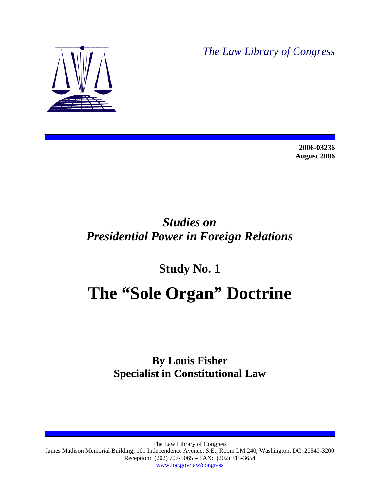

*The Law Library of Congress* 

**2006-03236 August 2006** 

## *Studies on Presidential Power in Foreign Relations*

# **Study No. 1 The "Sole Organ" Doctrine**

**By Louis Fisher Specialist in Constitutional Law** 

The Law Library of Congress James Madison Memorial Building; 101 Independence Avenue, S.E.; Room LM 240; Washington, DC 20540-3200 Reception: (202) 707-5065 – FAX: (202) 315-3654 www.loc.gov/law/congress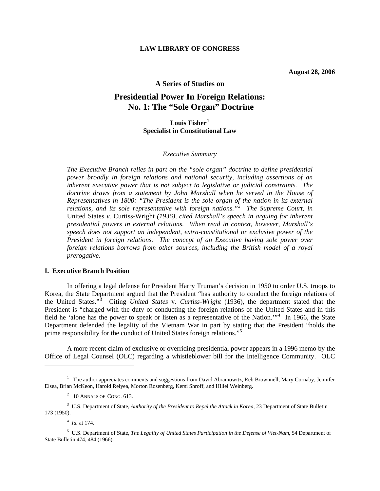#### **LAW LIBRARY OF CONGRESS**

**August 28, 2006** 

#### **A Series of Studies on**

### **Presidential Power In Foreign Relations: No. 1: The "Sole Organ" Doctrine**

#### **Louis Fisher[1](#page-1-0) Specialist in Constitutional Law**

#### *Executive Summary*

*The Executive Branch relies in part on the "sole organ" doctrine to define presidential power broadly in foreign relations and national security, including assertions of an inherent executive power that is not subject to legislative or judicial constraints. The*  doctrine draws from a statement by John Marshall when he served in the House of *Representatives in 1800: "The President is the sole organ of the nation in its external relations, and its sole representative with foreign nations."[2](#page-1-1) The Supreme Court, in*  United States *v.* Curtiss-Wright *(1936), cited Marshall's speech in arguing for inherent presidential powers in external relations. When read in context, however, Marshall's speech does not support an independent, extra-constitutional or exclusive power of the President in foreign relations. The concept of an Executive having sole power over foreign relations borrows from other sources, including the British model of a royal prerogative.* 

#### **I. Executive Branch Position**

In offering a legal defense for President Harry Truman's decision in 1950 to order U.S. troops to Korea, the State Department argued that the President "has authority to conduct the foreign relations of the United States."[3](#page-1-2) Citing *United States* v. *Curtiss-Wright* (1936), the department stated that the President is "charged with the duty of conducting the foreign relations of the United States and in this field he 'alone has the power to speak or listen as a representative of the Nation."<sup>[4](#page-1-3)</sup> In 1966, the State Department defended the legality of the Vietnam War in part by stating that the President "holds the prime responsibility for the conduct of United States foreign relations."<sup>[5](#page-1-4)</sup>

A more recent claim of exclusive or overriding presidential power appears in a 1996 memo by the Office of Legal Counsel (OLC) regarding a whistleblower bill for the Intelligence Community. OLC

4 *Id.* at 174.

-

<span id="page-1-0"></span><sup>&</sup>lt;sup>1</sup> The author appreciates comments and suggestions from David Abramowitz, Reb Brownnell, Mary Cornaby, Jennifer Elsea, Brian McKeon, Harold Relyea, Morton Rosenberg, Kersi Shroff, and Hillel Weinberg.

 $2$  10 ANNALS OF CONG. 613.

<span id="page-1-2"></span><span id="page-1-1"></span><sup>3</sup> U.S. Department of State, *Authority of the President to Repel the Attack in Korea*, 23 Department of State Bulletin 173 (1950).

<span id="page-1-4"></span><span id="page-1-3"></span><sup>5</sup> U.S. Department of State, *The Legality of United States Participation in the Defense of Viet-Nam*, 54 Department of State Bulletin 474, 484 (1966).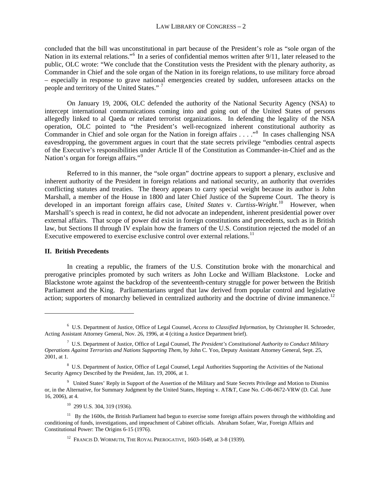concluded that the bill was unconstitutional in part because of the President's role as "sole organ of the Nation in its external relations."[6](#page-2-0) In a series of confidential memos written after 9/11, later released to the public, OLC wrote: "We conclude that the Constitution vests the President with the plenary authority, as Commander in Chief and the sole organ of the Nation in its foreign relations, to use military force abroad – especially in response to grave national emergencies created by sudden, unforeseen attacks on the people and territory of the United States."<sup>[7](#page-2-1)</sup>

On January 19, 2006, OLC defended the authority of the National Security Agency (NSA) to intercept international communications coming into and going out of the United States of persons allegedly linked to al Qaeda or related terrorist organizations. In defending the legality of the NSA operation, OLC pointed to "the President's well-recognized inherent constitutional authority as Commander in Chief and sole organ for the Nation in foreign affairs . . . . "<sup>[8](#page-2-2)</sup> In cases challenging NSA eavesdropping, the government argues in court that the state secrets privilege "embodies central aspects of the Executive's responsibilities under Article II of the Constitution as Commander-in-Chief and as the Nation's organ for foreign affairs."<sup>[9](#page-2-3)</sup>

Referred to in this manner, the "sole organ" doctrine appears to support a plenary, exclusive and inherent authority of the President in foreign relations and national security, an authority that overrides conflicting statutes and treaties. The theory appears to carry special weight because its author is John Marshall, a member of the House in 1800 and later Chief Justice of the Supreme Court. The theory is developed in an important foreign affairs case, *United States* v. *Curtiss-Wright*. [10](#page-2-4) However, when Marshall's speech is read in context, he did not advocate an independent, inherent presidential power over external affairs. That scope of power did exist in foreign constitutions and precedents, such as in British law, but Sections II through IV explain how the framers of the U.S. Constitution rejected the model of an Executive empowered to exercise exclusive control over external relations.<sup>[11](#page-2-5)</sup>

#### **II. British Precedents**

l

In creating a republic, the framers of the U.S. Constitution broke with the monarchical and prerogative principles promoted by such writers as John Locke and William Blackstone. Locke and Blackstone wrote against the backdrop of the seventeenth-century struggle for power between the British Parliament and the King. Parliamentarians urged that law derived from popular control and legislative action; supporters of monarchy believed in centralized authority and the doctrine of divine immanence.<sup>[12](#page-2-6)</sup>

<span id="page-2-0"></span><sup>6</sup> U.S. Department of Justice, Office of Legal Counsel, *Access to Classified Information*, by Christopher H. Schroeder, Acting Assistant Attorney General, Nov. 26, 1996, at 4 (citing a Justice Department brief).

<span id="page-2-1"></span><sup>7</sup> U.S. Department of Justice, Office of Legal Counsel, *The President's Constitutional Authority to Conduct Military Operations Against Terrorists and Nations Supporting Them*, by John C. Yoo, Deputy Assistant Attorney General, Sept. 25, 2001, at 1.

<span id="page-2-2"></span><sup>&</sup>lt;sup>8</sup> U.S. Department of Justice, Office of Legal Counsel, Legal Authorities Supporting the Activities of the National Security Agency Described by the President, Jan. 19, 2006, at 1.

<span id="page-2-3"></span><sup>&</sup>lt;sup>9</sup> United States' Reply in Support of the Assertion of the Military and State Secrets Privilege and Motion to Dismiss or, in the Alternative, for Summary Judgment by the United States, Hepting v. AT&T, Case No. C-06-0672-VRW (D. Cal. June 16, 2006), at 4.

<sup>10 299</sup> U.S. 304, 319 (1936).

<span id="page-2-6"></span><span id="page-2-5"></span><span id="page-2-4"></span><sup>&</sup>lt;sup>11</sup> By the 1600s, the British Parliament had begun to exercise some foreign affairs powers through the withholding and conditioning of funds, investigations, and impeachment of Cabinet officials. Abraham Sofaer, War, Foreign Affairs and Constitutional Power: The Origins 6-15 (1976).

 $12$  Francis D. Wormuth, The Royal Prerogative, 1603-1649, at 3-8 (1939).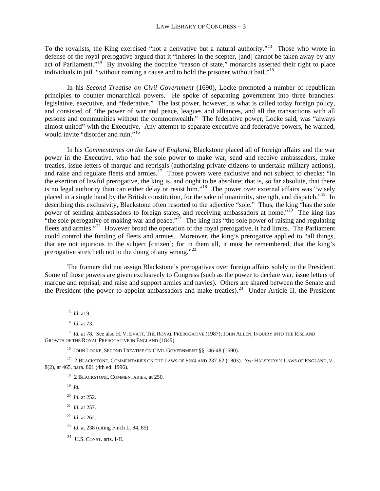To the royalists, the King exercised "not a derivative but a natural authority."[13](#page-3-0) Those who wrote in defense of the royal prerogative argued that it "inheres in the scepter, [and] cannot be taken away by any act of Parliament."<sup>[14](#page-3-1)</sup> By invoking the doctrine "reason of state," monarchs asserted their right to place individuals in jail "without naming a cause and to hold the prisoner without bail."[15](#page-3-2)

In his *Second Treatise on Civil Government* (1690), Locke promoted a number of republican principles to counter monarchical powers. He spoke of separating government into three branches: legislative, executive, and "federative." The last power, however, is what is called today foreign policy, and consisted of "the power of war and peace, leagues and alliances, and all the transactions with all persons and communities without the commonwealth." The federative power, Locke said, was "always almost united" with the Executive. Any attempt to separate executive and federative powers, he warned, would invite "disorder and ruin."<sup>[16](#page-3-3)</sup>

In his *Commentaries on the Law of England*, Blackstone placed all of foreign affairs and the war power in the Executive, who had the sole power to make war, send and receive ambassadors, make treaties, issue letters of marque and reprisals (authorizing private citizens to undertake military actions), and raise and regulate fleets and armies.<sup>[17](#page-3-4)</sup> Those powers were exclusive and not subject to checks: "in the exertion of lawful prerogative, the king is, and ought to be absolute; that is, so far absolute, that there is no legal authority than can either delay or resist him."<sup>[18](#page-3-5)</sup> The power over external affairs was "wisely placed in a single hand by the British constitution, for the sake of unanimity, strength, and dispatch."[19](#page-3-6) In describing this exclusivity, Blackstone often resorted to the adjective "sole." Thus, the king "has the sole power of sending ambassadors to foreign states, and receiving ambassadors at home."<sup>[20](#page-3-7)</sup> The king has "the sole prerogative of making war and peace."<sup>[21](#page-3-8)</sup> The king has "the sole power of raising and regulating fleets and armies."<sup>[22](#page-3-9)</sup> However broad the operation of the royal prerogative, it had limits. The Parliament could control the funding of fleets and armies. Moreover, the king's prerogative applied to "all things, that are not injurious to the subject [citizen]; for in them all, it must be remembered, that the king's prerogative stretcheth not to the doing of any wrong."<sup>[23](#page-3-10)</sup>

The framers did not assign Blackstone's prerogatives over foreign affairs solely to the President. Some of those powers are given exclusively to Congress (such as the power to declare war, issue letters of marque and reprisal, and raise and support armies and navies). Others are shared between the Senate and the President (the power to appoint ambassadors and make treaties).<sup>[24](#page-3-11)</sup> Under Article II, the President

<span id="page-3-0"></span>1

<sup>13</sup> *Id.* at 9.

<sup>14</sup> *Id.* at 73.

<span id="page-3-2"></span><span id="page-3-1"></span><sup>&</sup>lt;sup>15</sup> *Id.* at 78. See also H. V. EVATT, THE ROYAL PREROGATIVE (1987); JOHN ALLEN, INQUIRY INTO THE RISE AND GROWTH OF THE ROYAL PREROGATIVE IN ENGLAND (1849).

<sup>16</sup> JOHN LOCKE, SECOND TREATISE ON CIVIL GOVERNMENT §§ 146-48 (1690).

<span id="page-3-8"></span><span id="page-3-7"></span><span id="page-3-6"></span><span id="page-3-5"></span><span id="page-3-4"></span><span id="page-3-3"></span><sup>17 2</sup> BLACKSTONE, COMMENTARIES ON THE LAWS OF ENGLAND 237-62 (1803). *See* HALSBURY'S LAWS OF ENGLAND, V.. 8(2), at 465, para. 801 (4th ed. 1996).

<sup>18 2</sup> BLACKSTONE, COMMENTARIES, at 250.

<sup>19</sup> *Id.*

<sup>20</sup> *Id.* at 252.

<sup>21</sup> *Id.* at 257.

<span id="page-3-9"></span><sup>22</sup> *Id.* at 262.

<span id="page-3-10"></span><sup>23</sup> *Id*. at 238 (citing Finch L. 84, 85).

<span id="page-3-11"></span><sup>24</sup> U.S. CONST. arts. I-II.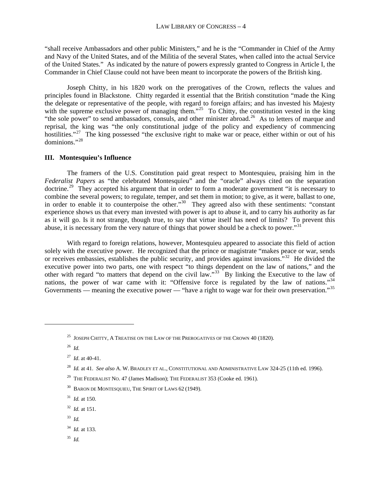"shall receive Ambassadors and other public Ministers," and he is the "Commander in Chief of the Army and Navy of the United States, and of the Militia of the several States, when called into the actual Service of the United States." As indicated by the nature of powers expressly granted to Congress in Article I, the Commander in Chief Clause could not have been meant to incorporate the powers of the British king.

Joseph Chitty, in his 1820 work on the prerogatives of the Crown, reflects the values and principles found in Blackstone. Chitty regarded it essential that the British constitution "made the King the delegate or representative of the people, with regard to foreign affairs; and has invested his Majesty with the supreme exclusive power of managing them."<sup>[25](#page-4-0)</sup> To Chitty, the constitution vested in the king "the sole power" to send ambassadors, consuls, and other minister abroad.<sup>[26](#page-4-1)</sup> As to letters of marque and reprisal, the king was "the only constitutional judge of the policy and expediency of commencing hostilities."<sup>[27](#page-4-2)</sup> The king possessed "the exclusive right to make war or peace, either within or out of his dominions."<sup>[28](#page-4-3)</sup>

#### **III. Montesquieu's Influence**

The framers of the U.S. Constitution paid great respect to Montesquieu, praising him in the *Federalist Papers* as "the celebrated Montesquieu" and the "oracle" always cited on the separation doctrine.<sup>[29](#page-4-4)</sup> They accepted his argument that in order to form a moderate government "it is necessary to combine the several powers; to regulate, temper, and set them in motion; to give, as it were, ballast to one, in order to enable it to counterpoise the other."<sup>[30](#page-4-5)</sup> They agreed also with these sentiments: "constant experience shows us that every man invested with power is apt to abuse it, and to carry his authority as far as it will go. Is it not strange, though true, to say that virtue itself has need of limits? To prevent this abuse, it is necessary from the very nature of things that power should be a check to power."<sup>[31](#page-4-6)</sup>

With regard to foreign relations, however, Montesquieu appeared to associate this field of action solely with the executive power. He recognized that the prince or magistrate "makes peace or war, sends or receives embassies, establishes the public security, and provides against invasions."[32](#page-4-7) He divided the executive power into two parts, one with respect "to things dependent on the law of nations," and the other with regard "to matters that depend on the civil law."<sup>[33](#page-4-8)</sup> By linking the Executive to the law of nations, the power of war came with it: "Offensive force is regulated by the law of nations."<sup>34</sup> Governments — meaning the executive power — "have a right to wage war for their own preservation."<sup>[35](#page-4-10)</sup>

<span id="page-4-3"></span><span id="page-4-2"></span><span id="page-4-1"></span><span id="page-4-0"></span>1

<span id="page-4-6"></span><sup>31</sup> *Id.* at 150.

<span id="page-4-8"></span>33 *Id.* 

<span id="page-4-9"></span>34 *Id.* at 133.

<span id="page-4-10"></span><sup>35</sup> *Id.* 

<sup>&</sup>lt;sup>25</sup> JOSEPH CHITTY, A TREATISE ON THE LAW OF THE PREROGATIVES OF THE CROWN 40 (1820).

<sup>26</sup> *Id.*

<sup>27</sup> *Id*. at 40-41.

<sup>28</sup> *Id.* at 41. *See also* A. W. BRADLEY ET AL., CONSTITUTIONAL AND ADMINISTRATIVE LAW 324-25 (11th ed. 1996).

<span id="page-4-4"></span><sup>&</sup>lt;sup>29</sup> THE FEDERALIST NO. 47 (James Madison); THE FEDERALIST 353 (Cooke ed. 1961).

<span id="page-4-5"></span><sup>30</sup> BARON DE MONTESQUIEU, THE SPIRIT OF LAWS 62 (1949).

<span id="page-4-7"></span><sup>32</sup> *Id.* at 151.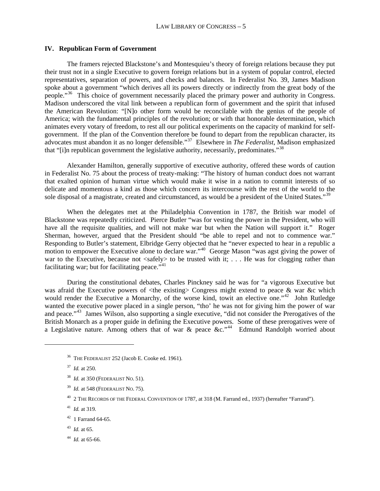#### **IV. Republican Form of Government**

The framers rejected Blackstone's and Montesquieu's theory of foreign relations because they put their trust not in a single Executive to govern foreign relations but in a system of popular control, elected representatives, separation of powers, and checks and balances. In Federalist No. 39, James Madison spoke about a government "which derives all its powers directly or indirectly from the great body of the people."[36](#page-5-0) This choice of government necessarily placed the primary power and authority in Congress. Madison underscored the vital link between a republican form of government and the spirit that infused the American Revolution: "[N]o other form would be reconcilable with the genius of the people of America; with the fundamental principles of the revolution; or with that honorable determination, which animates every votary of freedom, to rest all our political experiments on the capacity of mankind for selfgovernment. If the plan of the Convention therefore be found to depart from the republican character, its advocates must abandon it as no longer defensible."[37](#page-5-1) Elsewhere in *The Federalist*, Madison emphasized that "[i]n republican government the legislative authority, necessarily, predominates."[38](#page-5-2)

Alexander Hamilton, generally supportive of executive authority, offered these words of caution in Federalist No. 75 about the process of treaty-making: "The history of human conduct does not warrant that exalted opinion of human virtue which would make it wise in a nation to commit interests of so delicate and momentous a kind as those which concern its intercourse with the rest of the world to the sole disposal of a magistrate, created and circumstanced, as would be a president of the United States."<sup>[39](#page-5-3)</sup>

When the delegates met at the Philadelphia Convention in 1787, the British war model of Blackstone was repeatedly criticized. Pierce Butler "was for vesting the power in the President, who will have all the requisite qualities, and will not make war but when the Nation will support it." Roger Sherman, however, argued that the President should "be able to repel and not to commence war." Responding to Butler's statement, Elbridge Gerry objected that he "never expected to hear in a republic a motion to empower the Executive alone to declare war."<sup>[40](#page-5-4)</sup> George Mason "was agst giving the power of war to the Executive, because not  $\langle \text{safely}\rangle$  to be trusted with it; ... He was for clogging rather than facilitating war; but for facilitating peace. $^{341}$  $^{341}$  $^{341}$ 

During the constitutional debates, Charles Pinckney said he was for "a vigorous Executive but was afraid the Executive powers of  $\langle$ the existing $\rangle$  Congress might extend to peace & war &c which would render the Executive a Monarchy, of the worse kind, towit an elective one."<sup>[42](#page-5-6)</sup> John Rutledge wanted the executive power placed in a single person, "tho' he was not for giving him the power of war and peace."[43](#page-5-7) James Wilson, also supporting a single executive, "did not consider the Prerogatives of the British Monarch as a proper guide in defining the Executive powers. Some of these prerogatives were of a Legislative nature. Among others that of war  $\&$  peace  $\&c.^{44}$  $\&c.^{44}$  $\&c.^{44}$  Edmund Randolph worried about

<span id="page-5-3"></span><span id="page-5-2"></span><span id="page-5-1"></span><span id="page-5-0"></span>l

39 *Id.* at 548 (FEDERALIST NO. 75).

<span id="page-5-8"></span>44 *Id.* at 65-66.

<sup>36</sup> THE FEDERALIST 252 (Jacob E. Cooke ed. 1961).

<sup>37</sup> *Id.* at 250.

<sup>38</sup> *Id.* at 350 (FEDERALIST NO. 51).

<span id="page-5-4"></span><sup>40 2</sup> THE RECORDS OF THE FEDERAL CONVENTION OF 1787, at 318 (M. Farrand ed., 1937) (hereafter "Farrand").

<sup>41</sup> *Id.* at 319.

<span id="page-5-6"></span><span id="page-5-5"></span> $42$  1 Farrand 64-65.

<span id="page-5-7"></span><sup>43</sup> *Id.* at 65.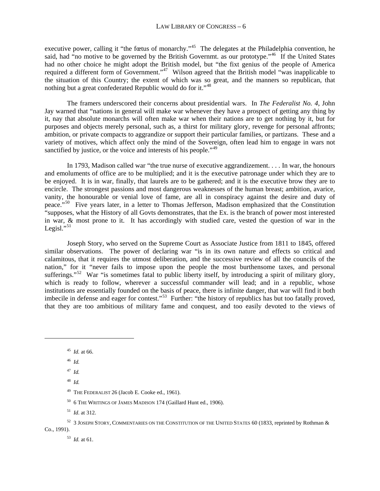executive power, calling it "the fœtus of monarchy."<sup>[45](#page-6-0)</sup> The delegates at the Philadelphia convention, he said, had "no motive to be governed by the British Governmt. as our prototype."<sup>[46](#page-6-1)</sup> If the United States had no other choice he might adopt the British model, but "the fixt genius of the people of America required a different form of Government."<sup>[47](#page-6-2)</sup> Wilson agreed that the British model "was inapplicable to the situation of this Country; the extent of which was so great, and the manners so republican, that nothing but a great confederated Republic would do for it."<sup>[48](#page-6-3)</sup>

The framers underscored their concerns about presidential wars. In *The Federalist No. 4*, John Jay warned that "nations in general will make war whenever they have a prospect of getting any thing by it, nay that absolute monarchs will often make war when their nations are to get nothing by it, but for purposes and objects merely personal, such as, a thirst for military glory, revenge for personal affronts; ambition, or private compacts to aggrandize or support their particular families, or partizans. These and a variety of motives, which affect only the mind of the Sovereign, often lead him to engage in wars not sanctified by justice, or the voice and interests of his people."<sup>[49](#page-6-4)</sup>

In 1793, Madison called war "the true nurse of executive aggrandizement. . . . In war, the honours and emoluments of office are to be multiplied; and it is the executive patronage under which they are to be enjoyed. It is in war, finally, that laurels are to be gathered; and it is the executive brow they are to encircle. The strongest passions and most dangerous weaknesses of the human breast; ambition, avarice, vanity, the honourable or venial love of fame, are all in conspiracy against the desire and duty of peace."[50](#page-6-5) Five years later, in a letter to Thomas Jefferson, Madison emphasized that the Constitution "supposes, what the History of all Govts demonstrates, that the Ex. is the branch of power most interested in war, & most prone to it. It has accordingly with studied care, vested the question of war in the Legisl." $51$ 

Joseph Story, who served on the Supreme Court as Associate Justice from 1811 to 1845, offered similar observations. The power of declaring war "is in its own nature and effects so critical and calamitous, that it requires the utmost deliberation, and the successive review of all the councils of the nation," for it "never fails to impose upon the people the most burthensome taxes, and personal sufferings."<sup>[52](#page-6-7)</sup> War "is sometimes fatal to public liberty itself, by introducing a spirit of military glory, which is ready to follow, wherever a successful commander will lead; and in a republic, whose institutions are essentially founded on the basis of peace, there is infinite danger, that war will find it both imbecile in defense and eager for contest."<sup>[53](#page-6-8)</sup> Further: "the history of republics has but too fatally proved, that they are too ambitious of military fame and conquest, and too easily devoted to the views of

<span id="page-6-3"></span><span id="page-6-2"></span><span id="page-6-1"></span><span id="page-6-0"></span>1

49 THE FEDERALIST 26 (Jacob E. Cooke ed., 1961).

50 6 THE WRITINGS OF JAMES MADISON 174 (Gaillard Hunt ed., 1906).

<sup>51</sup> *Id*. at 312.

<span id="page-6-8"></span><span id="page-6-7"></span><span id="page-6-6"></span><span id="page-6-5"></span><span id="page-6-4"></span> $52$  3 JOSEPH STORY, COMMENTARIES ON THE CONSTITUTION OF THE UNITED STATES 60 (1833, reprinted by Rothman & Co., 1991).

53 *Id.* at 61.

<sup>45</sup> *Id.* at 66.

<sup>46</sup> *Id.* 

<sup>47</sup> *Id.* 

<sup>48</sup> *Id.*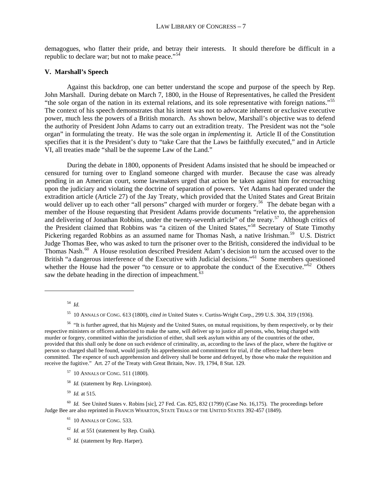demagogues, who flatter their pride, and betray their interests. It should therefore be difficult in a republic to declare war; but not to make peace."<sup>[54](#page-7-0)</sup>

#### **V. Marshall's Speech**

Against this backdrop, one can better understand the scope and purpose of the speech by Rep. John Marshall. During debate on March 7, 1800, in the House of Representatives, he called the President "the sole organ of the nation in its external relations, and its sole representative with foreign nations."[55](#page-7-1)  The context of his speech demonstrates that his intent was not to advocate inherent or exclusive executive power, much less the powers of a British monarch. As shown below, Marshall's objective was to defend the authority of President John Adams to carry out an extradition treaty. The President was not the "sole organ" in formulating the treaty. He was the sole organ in *implementing* it. Article II of the Constitution specifies that it is the President's duty to "take Care that the Laws be faithfully executed," and in Article VI, all treaties made "shall be the supreme Law of the Land."

During the debate in 1800, opponents of President Adams insisted that he should be impeached or censured for turning over to England someone charged with murder. Because the case was already pending in an American court, some lawmakers urged that action be taken against him for encroaching upon the judiciary and violating the doctrine of separation of powers. Yet Adams had operated under the extradition article (Article 27) of the Jay Treaty, which provided that the United States and Great Britain would deliver up to each other "all persons" charged with murder or forgery.<sup>[56](#page-7-2)</sup> The debate began with a member of the House requesting that President Adams provide documents "relative to, the apprehension and delivering of Jonathan Robbins, under the twenty-seventh article" of the treaty.<sup>[57](#page-7-3)</sup> Although critics of the President claimed that Robbins was "a citizen of the United States,"[58](#page-7-4) Secretary of State Timothy Pickering regarded Robbins as an assumed name for Thomas Nash, a native Irishman.<sup>[59](#page-7-5)</sup> U.S. District Judge Thomas Bee, who was asked to turn the prisoner over to the British, considered the individual to be Thomas Nash.<sup>[60](#page-7-6)</sup> A House resolution described President Adam's decision to turn the accused over to the British "a dangerous interference of the Executive with Judicial decisions."<sup>[61](#page-7-7)</sup> Some members questioned whether the House had the power "to censure or to approbate the conduct of the Executive."<sup>[62](#page-7-8)</sup> Others saw the debate heading in the direction of impeachment. $63$ 

54 *Id.*

<span id="page-7-0"></span>l

55 10 ANNALS OF CONG. 613 (1800), *cited in* United States v. Curtiss-Wright Corp., 299 U.S. 304, 319 (1936).

<span id="page-7-2"></span><span id="page-7-1"></span><sup>56</sup> "It is further agreed, that his Majesty and the United States, on mutual requisitions, by them respectively, or by their respective ministers or officers authorized to make the same, will deliver up to justice all persons, who, being charged with murder or forgery, committed within the jurisdiction of either, shall seek asylum within any of the countries of the other, provided that this shall only be done on such evidence of criminality, as, according to the laws of the place, where the fugitive or person so charged shall be found, would justify his apprehension and commitment for trial, if the offence had there been committed. The expence of such apprehension and delivery shall be borne and defrayed, by those who make the requisition and receive the fugitive." Art. 27 of the Treaty with Great Britain, Nov. 19, 1794, 8 Stat. 129.

- 57 10 ANNALS OF CONG. 511 (1800).
- 58 *Id.* (statement by Rep. Livingston).
- 59 *Id.* at 515.

<span id="page-7-9"></span><span id="page-7-8"></span><span id="page-7-7"></span><span id="page-7-6"></span><span id="page-7-5"></span><span id="page-7-4"></span><span id="page-7-3"></span><sup>60</sup> *Id.* See United States v. Robins [sic], 27 Fed. Cas. 825, 832 (1799) (Case No. 16,175). The proceedings before Judge Bee are also reprinted in FRANCIS WHARTON, STATE TRIALS OF THE UNITED STATES 392-457 (1849).

- $61$  10 ANNALS OF CONG. 533.
- <sup>62</sup> *Id.* at 551 (statement by Rep. Craik).
- 63 *Id.* (statement by Rep. Harper).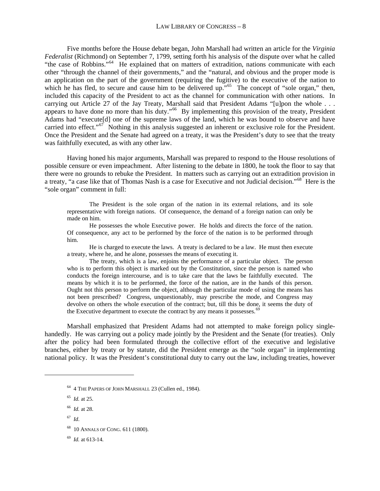Five months before the House debate began, John Marshall had written an article for the *Virginia Federalist* (Richmond) on September 7, 1799, setting forth his analysis of the dispute over what he called "the case of Robbins."<sup>[64](#page-8-0)</sup> He explained that on matters of extradition, nations communicate with each other "through the channel of their governments," and the "natural, and obvious and the proper mode is an application on the part of the government (requiring the fugitive) to the executive of the nation to which he has fled, to secure and cause him to be delivered up.<sup>"[65](#page-8-1)</sup> The concept of "sole organ," then, included this capacity of the President to act as the channel for communication with other nations. In carrying out Article 27 of the Jay Treaty, Marshall said that President Adams "[u]pon the whole . . . appears to have done no more than his duty."[66](#page-8-2) By implementing this provision of the treaty, President Adams had "execute[d] one of the supreme laws of the land, which he was bound to observe and have carried into effect."<sup>[67](#page-8-3)</sup> Nothing in this analysis suggested an inherent or exclusive role for the President. Once the President and the Senate had agreed on a treaty, it was the President's duty to see that the treaty was faithfully executed, as with any other law.

Having honed his major arguments, Marshall was prepared to respond to the House resolutions of possible censure or even impeachment. After listening to the debate in 1800, he took the floor to say that there were no grounds to rebuke the President. In matters such as carrying out an extradition provision in a treaty, "a case like that of Thomas Nash is a case for Executive and not Judicial decision."<sup>[68](#page-8-4)</sup> Here is the "sole organ" comment in full:

The President is the sole organ of the nation in its external relations, and its sole representative with foreign nations. Of consequence, the demand of a foreign nation can only be made on him.

He possesses the whole Executive power. He holds and directs the force of the nation. Of consequence, any act to be performed by the force of the nation is to be performed through him.

He is charged to execute the laws. A treaty is declared to be a law. He must then execute a treaty, where he, and he alone, possesses the means of executing it.

The treaty, which is a law, enjoins the performance of a particular object. The person who is to perform this object is marked out by the Constitution, since the person is named who conducts the foreign intercourse, and is to take care that the laws be faithfully executed. The means by which it is to be performed, the force of the nation, are in the hands of this person. Ought not this person to perform the object, although the particular mode of using the means has not been prescribed? Congress, unquestionably, may prescribe the mode, and Congress may devolve on others the whole execution of the contract; but, till this be done, it seems the duty of the Executive department to execute the contract by any means it possesses.<sup>6</sup>

Marshall emphasized that President Adams had not attempted to make foreign policy singlehandedly. He was carrying out a policy made jointly by the President and the Senate (for treaties). Only after the policy had been formulated through the collective effort of the executive and legislative branches, either by treaty or by statute, did the President emerge as the "sole organ" in implementing national policy. It was the President's constitutional duty to carry out the law, including treaties, however

<span id="page-8-0"></span>64 4 THE PAPERS OF JOHN MARSHALL 23 (Cullen ed., 1984).

<span id="page-8-1"></span>65 *Id.* at 25.

<span id="page-8-2"></span>66 *Id.* at 28.

<span id="page-8-3"></span>67 *Id*.

<span id="page-8-4"></span><sup>68 10</sup> ANNALS OF CONG. 611 (1800).

<span id="page-8-5"></span><sup>69</sup> *Id.* at 613-14.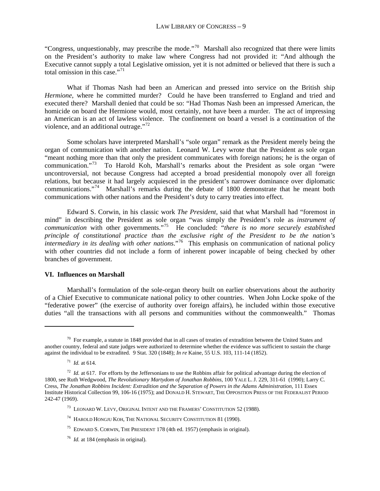"Congress, unquestionably, may prescribe the mode."[70](#page-9-0) Marshall also recognized that there were limits on the President's authority to make law where Congress had not provided it: "And although the Executive cannot supply a total Legislative omission, yet it is not admitted or believed that there is such a total omission in this case."[71](#page-9-1)

What if Thomas Nash had been an American and pressed into service on the British ship *Hermione*, where he committed murder? Could he have been transferred to England and tried and executed there? Marshall denied that could be so: "Had Thomas Nash been an impressed American, the homicide on board the Hermione would, most certainly, not have been a murder. The act of impressing an American is an act of lawless violence. The confinement on board a vessel is a continuation of the violence, and an additional outrage."<sup>[72](#page-9-2)</sup>

Some scholars have interpreted Marshall's "sole organ" remark as the President merely being the organ of communication with another nation. Leonard W. Levy wrote that the President as sole organ "meant nothing more than that only the president communicates with foreign nations; he is the organ of communication."<sup>[73](#page-9-3)</sup> To Harold Koh, Marshall's remarks about the President as sole organ "were uncontroversial, not because Congress had accepted a broad presidential monopoly over all foreign relations, but because it had largely acquiesced in the president's narrower dominance over diplomatic communications."<sup>[74](#page-9-4)</sup> Marshall's remarks during the debate of 1800 demonstrate that he meant both communications with other nations and the President's duty to carry treaties into effect.

Edward S. Corwin, in his classic work *The President*, said that what Marshall had "foremost in mind" in describing the President as sole organ "was simply the President's role as *instrument of communication* with other governments."[75](#page-9-5) He concluded: "*there is no more securely established principle of constitutional practice than the exclusive right of the President to be the nation's intermediary in its dealing with other nations*."[76](#page-9-6) This emphasis on communication of national policy with other countries did not include a form of inherent power incapable of being checked by other branches of government.

#### **VI. Influences on Marshall**

Marshall's formulation of the sole-organ theory built on earlier observations about the authority of a Chief Executive to communicate national policy to other countries. When John Locke spoke of the "federative power" (the exercise of authority over foreign affairs), he included within those executive duties "all the transactions with all persons and communities without the commonwealth." Thomas

<span id="page-9-0"></span> $70$  For example, a statute in 1848 provided that in all cases of treaties of extradition between the United States and another country, federal and state judges were authorized to determine whether the evidence was sufficient to sustain the charge against the individual to be extradited. 9 Stat. 320 (1848); *In re* Kaine, 55 U.S. 103, 111-14 (1852).

<sup>71</sup> *Id.* at 614.

<span id="page-9-4"></span><span id="page-9-3"></span><span id="page-9-2"></span><span id="page-9-1"></span><sup>&</sup>lt;sup>72</sup> *Id.* at 617. For efforts by the Jeffersonians to use the Robbins affair for political advantage during the election of 1800, see Ruth Wedgwood, *The Revolutionary Martydom of Jonathan Robbins*, 100 YALE L. J. 229, 311-61 (1990); Larry C. Cress, *The Jonathan Robbins Incident: Extradition and the Separation of Powers in the Adams Administration*, 111 Essex Institute Historical Collection 99, 106-16 (1975); and DONALD H. STEWART, THE OPPOSITION PRESS OF THE FEDERALIST PERIOD 242-47 (1969).

<sup>73</sup> LEONARD W. LEVY, ORIGINAL INTENT AND THE FRAMERS' CONSTITUTION 52 (1988).

<sup>74</sup> HAROLD HONGJU KOH, THE NATIONAL SECURITY CONSTITUTION 81 (1990).

<span id="page-9-5"></span><sup>75</sup> EDWARD S. CORWIN, THE PRESIDENT 178 (4th ed. 1957) (emphasis in original).

<span id="page-9-6"></span><sup>76</sup> *Id.* at 184 (emphasis in original).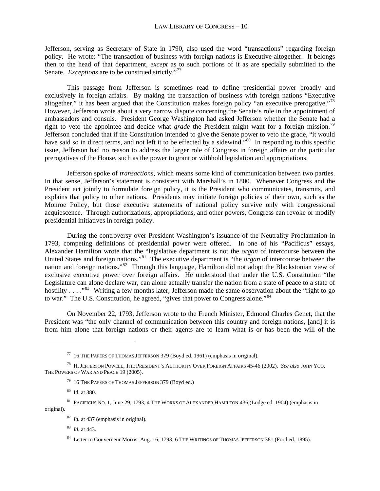Jefferson, serving as Secretary of State in 1790, also used the word "transactions" regarding foreign policy. He wrote: "The transaction of business with foreign nations is Executive altogether. It belongs then to the head of that department, *except* as to such portions of it as are specially submitted to the Senate. *Exceptions* are to be construed strictly."<sup>[77](#page-10-0)</sup>

This passage from Jefferson is sometimes read to define presidential power broadly and exclusively in foreign affairs. By making the transaction of business with foreign nations "Executive altogether," it has been argued that the Constitution makes foreign policy "an executive prerogative."[78](#page-10-1) However, Jefferson wrote about a very narrow dispute concerning the Senate's role in the appointment of ambassadors and consuls. President George Washington had asked Jefferson whether the Senate had a right to veto the appointee and decide what *grade* the President might want for a foreign mission.<sup>79</sup> Jefferson concluded that if the Constitution intended to give the Senate power to veto the grade, "it would have said so in direct terms, and not left it to be effected by a sidewind.<sup>"[80](#page-10-3)</sup> In responding to this specific issue, Jefferson had no reason to address the larger role of Congress in foreign affairs or the particular prerogatives of the House, such as the power to grant or withhold legislation and appropriations.

Jefferson spoke of *transactions*, which means some kind of communication between two parties. In that sense, Jefferson's statement is consistent with Marshall's in 1800. Whenever Congress and the President act jointly to formulate foreign policy, it is the President who communicates, transmits, and explains that policy to other nations. Presidents may initiate foreign policies of their own, such as the Monroe Policy, but those executive statements of national policy survive only with congressional acquiescence. Through authorizations, appropriations, and other powers, Congress can revoke or modify presidential initiatives in foreign policy.

During the controversy over President Washington's issuance of the Neutrality Proclamation in 1793, competing definitions of presidential power were offered. In one of his "Pacificus" essays, Alexander Hamilton wrote that the "legislative department is not the *organ* of intercourse between the United States and foreign nations."[81](#page-10-4) The executive department is "the *organ* of intercourse between the nation and foreign nations."[82](#page-10-5) Through this language, Hamilton did not adopt the Blackstonian view of exclusive executive power over foreign affairs. He understood that under the U.S. Constitution "the Legislature can alone declare war, can alone actually transfer the nation from a state of peace to a state of hostility  $\ldots$  . . . ...<sup>[83](#page-10-6)</sup> Writing a few months later, Jefferson made the same observation about the "right to go to war." The U.S. Constitution, he agreed, "gives that power to Congress alone."<sup>[84](#page-10-7)</sup>

On November 22, 1793, Jefferson wrote to the French Minister, Edmond Charles Genet, that the President was "the only channel of communication between this country and foreign nations, [and] it is from him alone that foreign nations or their agents are to learn what is or has been the will of the

80 Id. at 380.

1

<span id="page-10-7"></span><span id="page-10-6"></span><span id="page-10-5"></span><span id="page-10-4"></span><span id="page-10-3"></span><sup>81</sup> PACIFICUS NO. 1, June 29, 1793; 4 THE WORKS OF ALEXANDER HAMILTON 436 (Lodge ed. 1904) (emphasis in original).

83 *Id.* at 443.

 $77$  16 THE PAPERS OF THOMAS JEFFERSON 379 (Boyd ed. 1961) (emphasis in original).

<span id="page-10-2"></span><span id="page-10-1"></span><span id="page-10-0"></span><sup>78</sup> H. JEFFERSON POWELL, THE PRESIDENT'S AUTHORITY OVER FOREIGN AFFAIRS 45-46 (2002). *See also* JOHN YOO, THE POWERS OF WAR AND PEACE 19 (2005).

<sup>79 16</sup> THE PAPERS OF THOMAS JEFFERSON 379 (Boyd ed.)

<sup>82</sup> *Id.* at 437 (emphasis in original).

<sup>84</sup> Letter to Gouverneur Morris, Aug. 16, 1793; 6 THE WRITINGS OF THOMAS JEFFERSON 381 (Ford ed. 1895).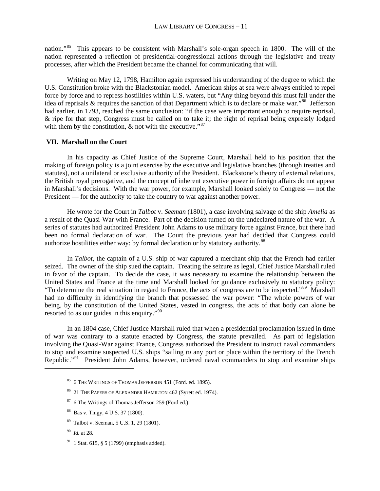nation."<sup>[85](#page-11-0)</sup> This appears to be consistent with Marshall's sole-organ speech in 1800. The will of the nation represented a reflection of presidential-congressional actions through the legislative and treaty processes, after which the President became the channel for communicating that will.

Writing on May 12, 1798, Hamilton again expressed his understanding of the degree to which the U.S. Constitution broke with the Blackstonian model. American ships at sea were always entitled to repel force by force and to repress hostilities within U.S. waters, but "Any thing beyond this must fall under the idea of reprisals & requires the sanction of that Department which is to declare or make war."[86](#page-11-1) Jefferson had earlier, in 1793, reached the same conclusion: "if the case were important enough to require reprisal, & ripe for that step, Congress must be called on to take it; the right of reprisal being expressly lodged with them by the constitution,  $\&$  not with the executive."<sup>[87](#page-11-2)</sup>

#### **VII. Marshall on the Court**

In his capacity as Chief Justice of the Supreme Court, Marshall held to his position that the making of foreign policy is a joint exercise by the executive and legislative branches (through treaties and statutes), not a unilateral or exclusive authority of the President. Blackstone's theory of external relations, the British royal prerogative, and the concept of inherent executive power in foreign affairs do not appear in Marshall's decisions. With the war power, for example, Marshall looked solely to Congress — not the President — for the authority to take the country to war against another power.

He wrote for the Court in *Talbot* v. *Seeman* (1801), a case involving salvage of the ship *Amelia* as a result of the Quasi-War with France. Part of the decision turned on the undeclared nature of the war. A series of statutes had authorized President John Adams to use military force against France, but there had been no formal declaration of war. The Court the previous year had decided that Congress could authorize hostilities either way: by formal declaration or by statutory authority.<sup>[88](#page-11-3)</sup>

In *Talbot*, the captain of a U.S. ship of war captured a merchant ship that the French had earlier seized. The owner of the ship sued the captain. Treating the seizure as legal, Chief Justice Marshall ruled in favor of the captain. To decide the case, it was necessary to examine the relationship between the United States and France at the time and Marshall looked for guidance exclusively to statutory policy: "To determine the real situation in regard to France, the acts of congress are to be inspected."[89](#page-11-4) Marshall had no difficulty in identifying the branch that possessed the war power: "The whole powers of war being, by the constitution of the United States, vested in congress, the acts of that body can alone be resorted to as our guides in this enquiry."<sup>[90](#page-11-5)</sup>

In an 1804 case, Chief Justice Marshall ruled that when a presidential proclamation issued in time of war was contrary to a statute enacted by Congress, the statute prevailed. As part of legislation involving the Quasi-War against France, Congress authorized the President to instruct naval commanders to stop and examine suspected U.S. ships "sailing *to* any port or place within the territory of the French Republic."<sup>[91](#page-11-6)</sup> President John Adams, however, ordered naval commanders to stop and examine ships

87 6 The Writings of Thomas Jefferson 259 (Ford ed.).

<span id="page-11-4"></span>89 Talbot v. Seeman, 5 U.S. 1, 29 (1801).

<span id="page-11-5"></span>90 *Id.* at 28.

<span id="page-11-3"></span><span id="page-11-2"></span><span id="page-11-1"></span><span id="page-11-0"></span>1

<sup>85 6</sup> THE WRITINGS OF THOMAS JEFFERSON 451 (Ford. ed. 1895).

<sup>86 21</sup> THE PAPERS OF ALEXANDER HAMILTON 462 (Syrett ed. 1974).

<sup>88</sup> Bas v. Tingy, 4 U.S. 37 (1800).

<span id="page-11-6"></span><sup>91 1</sup> Stat. 615, § 5 (1799) (emphasis added).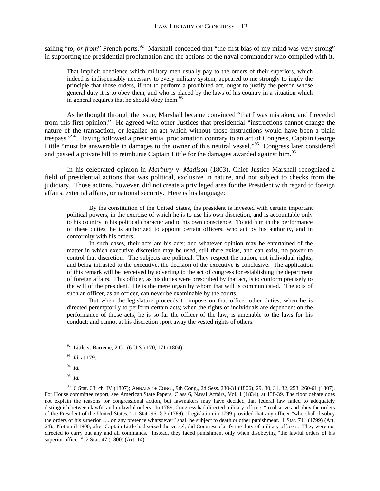sailing "to, or from" French ports.<sup>[92](#page-12-0)</sup> Marshall conceded that "the first bias of my mind was very strong" in supporting the presidential proclamation and the actions of the naval commander who complied with it.

That implicit obedience which military men usually pay to the orders of their superiors, which indeed is indispensably necessary to every military system, appeared to me strongly to imply the principle that those orders, if not to perform a prohibited act, ought to justify the person whose general duty it is to obey them, and who is placed by the laws of his country in a situation which in general requires that he should obey them. $9$ 

As he thought through the issue, Marshall became convinced "that I was mistaken, and I receded from this first opinion." He agreed with other Justices that presidential "instructions cannot change the nature of the transaction, or legalize an act which without those instructions would have been a plain trespass."[94](#page-12-2) Having followed a presidential proclamation contrary to an act of Congress, Captain George Little "must be answerable in damages to the owner of this neutral vessel."<sup>[95](#page-12-3)</sup> Congress later considered and passed a private bill to reimburse Captain Little for the damages awarded against him.<sup>[96](#page-12-4)</sup>

In his celebrated opinion in *Marbury* v. *Madison* (1803), Chief Justice Marshall recognized a field of presidential actions that was political, exclusive in nature, and not subject to checks from the judiciary. Those actions, however, did not create a privileged area for the President with regard to foreign affairs, external affairs, or national security. Here is his language:

By the constitution of the United States, the president is invested with certain important political powers, in the exercise of which he is to use his own discretion, and is accountable only to his country in his political character and to his own conscience. To aid him in the performance of these duties, he is authorized to appoint certain officers, who act by his authority, and in conformity with his orders.

In such cases, their acts are his acts; and whatever opinion may be entertained of the matter in which executive discretion may be used, still there exists, and can exist, no power to control that discretion. The subjects are political. They respect the nation, not individual rights, and being intrusted to the executive, the decision of the executive is conclusive. The application of this remark will be perceived by adverting to the act of congress for establishing the department of foreign affairs. This officer, as his duties were prescribed by that act, is to conform precisely to the will of the president. He is the mere organ by whom that will is communicated. The acts of such an officer, as an officer, can never be examinable by the courts.

But when the legislature proceeds to impose on that officer other duties; when he is directed peremptorily to perform certain acts; when the rights of individuals are dependent on the performance of those acts; he is so far the officer of the law; is amenable to the laws for his conduct; and cannot at his discretion sport away the vested rights of others.

<span id="page-12-1"></span><span id="page-12-0"></span>l

95 *Id.*

<span id="page-12-4"></span><span id="page-12-3"></span><span id="page-12-2"></span>96 6 Stat. 63, ch. IV (1807); ANNALS OF CONG., 9th Cong., 2d Sess. 230-31 (1806), 29, 30, 31, 32, 253, 260-61 (1807). For House committee report, see American State Papers, Class 6, Naval Affairs, Vol. 1 (1834), at 138-39. The floor debate does not explain the reasons for congressional action, but lawmakers may have decided that federal law failed to adequately distinguish between lawful and unlawful orders. In 1789, Congress had directed military officers "to observe and obey the orders of the President of the United States." 1 Stat. 96, § 3 (1789). Legislation in 1799 provided that any officer "who shall disobey the orders of his superior . . . on any pretence whatsoever" shall be subject to death or other punishment. 1 Stat. 711 (1799) (Art. 24). Not until 1800, after Captain Little had seized the vessel, did Congress clarify the duty of military officers. They were not directed to carry out any and all commands. Instead, they faced punishment only when disobeying "the lawful orders of his superior officer." 2 Stat. 47 (1800) (Art. 14).

<sup>92</sup> Little v. Barreme, 2 Cr. (6 U.S.) 170, 171 (1804).

<sup>93</sup> *Id.* at 179.

<sup>94</sup> *Id.*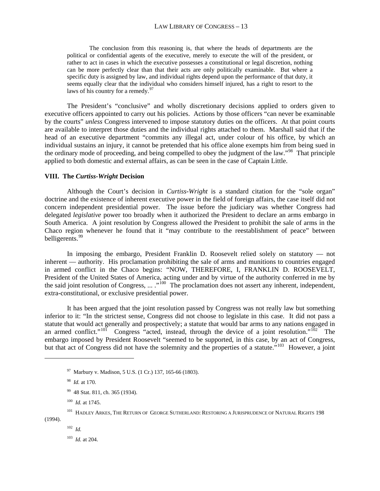The conclusion from this reasoning is, that where the heads of departments are the political or confidential agents of the executive, merely to execute the will of the president, or rather to act in cases in which the executive possesses a constitutional or legal discretion, nothing can be more perfectly clear than that their acts are only politically examinable. But where a specific duty is assigned by law, and individual rights depend upon the performance of that duty, it seems equally clear that the individual who considers himself injured, has a right to resort to the laws of his country for a remedy. $97$ 

The President's "conclusive" and wholly discretionary decisions applied to orders given to executive officers appointed to carry out his policies. Actions by those officers "can never be examinable by the courts" *unless* Congress intervened to impose statutory duties on the officers. At that point courts are available to interpret those duties and the individual rights attached to them. Marshall said that if the head of an executive department "commits any illegal act, under colour of his office, by which an individual sustains an injury, it cannot be pretended that his office alone exempts him from being sued in the ordinary mode of proceeding, and being compelled to obey the judgment of the law."[98](#page-13-1) That principle applied to both domestic and external affairs, as can be seen in the case of Captain Little.

#### **VIII. The** *Curtiss-Wright* **Decision**

Although the Court's decision in *Curtiss-Wright* is a standard citation for the "sole organ" doctrine and the existence of inherent executive power in the field of foreign affairs, the case itself did not concern independent presidential power. The issue before the judiciary was whether Congress had delegated *legislative* power too broadly when it authorized the President to declare an arms embargo in South America. A joint resolution by Congress allowed the President to prohibit the sale of arms in the Chaco region whenever he found that it "may contribute to the reestablishment of peace" between belligerents.<sup>[99](#page-13-2)</sup>

In imposing the embargo, President Franklin D. Roosevelt relied solely on statutory — not inherent — authority. His proclamation prohibiting the sale of arms and munitions to countries engaged in armed conflict in the Chaco begins: "NOW, THEREFORE, I, FRANKLIN D. ROOSEVELT, President of the United States of America, acting under and by virtue of the authority conferred in me by the said joint resolution of Congress, ... .<sup>"[100](#page-13-3)</sup> The proclamation does not assert any inherent, independent, extra-constitutional, or exclusive presidential power.

It has been argued that the joint resolution passed by Congress was not really law but something inferior to it: "In the strictest sense, Congress did not choose to legislate in this case. It did not pass a statute that would act generally and prospectively; a statute that would bar arms to any nations engaged in an armed conflict."<sup>[101](#page-13-4)</sup> Congress "acted, instead, through the device of a joint resolution."<sup>[102](#page-13-5)</sup> The embargo imposed by President Roosevelt "seemed to be supported, in this case, by an act of Congress, but that act of Congress did not have the solemnity and the properties of a statute."<sup>[103](#page-13-6)</sup> However, a joint

97 Marbury v. Madison, 5 U.S. (1 Cr.) 137, 165-66 (1803).

98 *Id.* at 170.

<sup>100</sup> *Id.* at 1745.

<sup>101</sup> HADLEY ARKES, THE RETURN OF GEORGE SUTHERLAND: RESTORING A JURISPRUDENCE OF NATURAL RIGHTS 198

<span id="page-13-6"></span><span id="page-13-5"></span><span id="page-13-4"></span><span id="page-13-3"></span><span id="page-13-2"></span>(1994).

<span id="page-13-1"></span><span id="page-13-0"></span>l

 $102$  *Id.* 

103 *Id.* at 204.

<sup>99 48</sup> Stat. 811, ch. 365 (1934).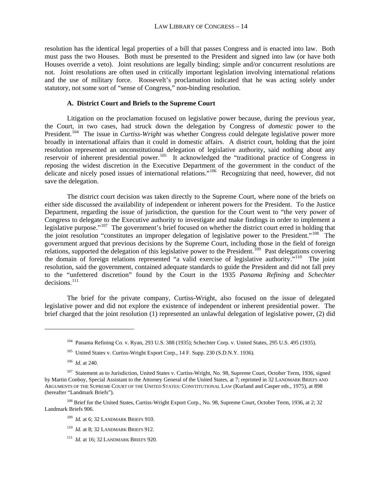resolution has the identical legal properties of a bill that passes Congress and is enacted into law. Both must pass the two Houses. Both must be presented to the President and signed into law (or have both Houses override a veto). Joint resolutions are legally binding; simple and/or concurrent resolutions are not. Joint resolutions are often used in critically important legislation involving international relations and the use of military force. Roosevelt's proclamation indicated that he was acting solely under statutory, not some sort of "sense of Congress," non-binding resolution.

#### **A. District Court and Briefs to the Supreme Court**

Litigation on the proclamation focused on legislative power because, during the previous year, the Court, in two cases, had struck down the delegation by Congress of *domestic* power to the President.<sup>[104](#page-14-0)</sup> The issue in *Curtiss-Wright* was whether Congress could delegate legislative power more broadly in international affairs than it could in domestic affairs. A district court, holding that the joint resolution represented an unconstitutional delegation of legislative authority, said nothing about any reservoir of inherent presidential power.<sup>[105](#page-14-1)</sup> It acknowledged the "traditional practice of Congress in reposing the widest discretion in the Executive Department of the government in the conduct of the delicate and nicely posed issues of international relations."<sup>[106](#page-14-2)</sup> Recognizing that need, however, did not save the delegation.

The district court decision was taken directly to the Supreme Court, where none of the briefs on either side discussed the availability of independent or inherent powers for the President. To the Justice Department, regarding the issue of jurisdiction, the question for the Court went to "the very power of Congress to delegate to the Executive authority to investigate and make findings in order to implement a legislative purpose."[107](#page-14-3) The government's brief focused on whether the district court erred in holding that the joint resolution "constitutes an improper delegation of legislative power to the President."[108](#page-14-4) The government argued that previous decisions by the Supreme Court, including those in the field of foreign relations, supported the delegation of this legislative power to the President.<sup>[109](#page-14-5)</sup> Past delegations covering the domain of foreign relations represented "a valid exercise of legislative authority."[110](#page-14-6) The joint resolution, said the government, contained adequate standards to guide the President and did not fall prey to the "unfettered discretion" found by the Court in the 1935 *Panama Refining* and *Schechter*  $decisions.<sup>111</sup>$  $decisions.<sup>111</sup>$  $decisions.<sup>111</sup>$ 

The brief for the private company, Curtiss-Wright, also focused on the issue of delegated legislative power and did not explore the existence of independent or inherent presidential power. The brief charged that the joint resolution (1) represented an unlawful delegation of legislative power, (2) did

- <sup>110</sup> *Id.* at 8; 32 LANDMARK BRIEFS 912.
- <sup>111</sup> *Id.* at 16; 32 LANDMARK BRIEFS 920.

<sup>104</sup> Panama Refining Co. v. Ryan, 293 U.S. 388 (1935); Schechter Corp. v. United States, 295 U.S. 495 (1935).

<sup>105</sup> United States v. Curtiss-Wright Export Corp., 14 F. Supp. 230 (S.D.N.Y. 1936).

<sup>106</sup> *Id*. at 240.

<span id="page-14-3"></span><span id="page-14-2"></span><span id="page-14-1"></span><span id="page-14-0"></span><sup>107</sup> Statement as to Jurisdiction, United States v. Curtiss-Wright, No. 98, Supreme Court, October Term, 1936, signed by Martin Conboy, Special Assistant to the Attorney General of the United States, at  $\overline{7}$ ; reprinted in 32 LANDMARK BRIEFS AND ARGUMENTS OF THE SUPREME COURT OF THE UNITED STATES: CONSTITUTIONAL LAW (Kurland and Casper eds., 1975), at 898 (hereafter "Landmark Briefs").

<span id="page-14-7"></span><span id="page-14-6"></span><span id="page-14-5"></span><span id="page-14-4"></span><sup>&</sup>lt;sup>108</sup> Brief for the United States, Curtiss-Wright Export Corp., No. 98, Supreme Court, October Term, 1936, at 2; 32 Landmark Briefs 906.

<sup>109</sup> *Id.* at 6; 32 LANDMARK BRIEFS 910.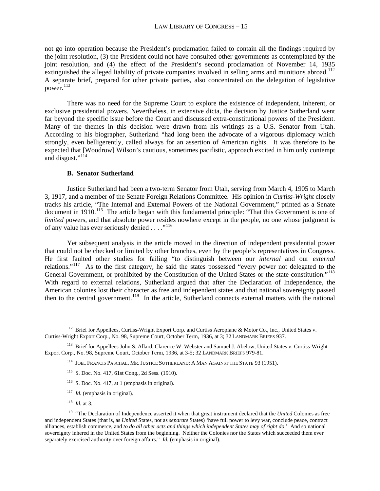not go into operation because the President's proclamation failed to contain all the findings required by the joint resolution, (3) the President could not have consulted other governments as contemplated by the joint resolution, and (4) the effect of the President's second proclamation of November 14, 1935 extinguished the alleged liability of private companies involved in selling arms and munitions abroad.<sup>112</sup> A separate brief, prepared for other private parties, also concentrated on the delegation of legislative power. $^{113}$  $^{113}$  $^{113}$ 

There was no need for the Supreme Court to explore the existence of independent, inherent, or exclusive presidential powers. Nevertheless, in extensive dicta, the decision by Justice Sutherland went far beyond the specific issue before the Court and discussed extra-constitutional powers of the President. Many of the themes in this decision were drawn from his writings as a U.S. Senator from Utah. According to his biographer, Sutherland "had long been the advocate of a vigorous diplomacy which strongly, even belligerently, called always for an assertion of American rights. It was therefore to be expected that [Woodrow] Wilson's cautious, sometimes pacifistic, approach excited in him only contempt and disgust." $114$ 

#### **B. Senator Sutherland**

Justice Sutherland had been a two-term Senator from Utah, serving from March 4, 1905 to March 3, 1917, and a member of the Senate Foreign Relations Committee. His opinion in *Curtiss-Wright* closely tracks his article, "The Internal and External Powers of the National Government," printed as a Senate document in 1910.<sup>[115](#page-15-3)</sup> The article began with this fundamental principle: "That this Government is one of *limited* powers, and that absolute power resides nowhere except in the people, no one whose judgment is of any value has ever seriously denied  $\dots$ ."<sup>[116](#page-15-4)</sup>

Yet subsequent analysis in the article moved in the direction of independent presidential power that could not be checked or limited by other branches, even by the people's representatives in Congress. He first faulted other studies for failing "to distinguish between our *internal* and our *external* relations."[117](#page-15-5) As to the first category, he said the states possessed "every power not delegated to the General Government, or prohibited by the Constitution of the United States or the state constitution."<sup>118</sup> With regard to external relations, Sutherland argued that after the Declaration of Independence, the American colonies lost their character as free and independent states and that national sovereignty passed then to the central government.<sup>[119](#page-15-7)</sup> In the article, Sutherland connects external matters with the national

- <sup>117</sup> *Id.* (emphasis in original).
- 118 *Id.* at 3.

<span id="page-15-0"></span><sup>&</sup>lt;sup>112</sup> Brief for Appellees, Curtiss-Wright Export Corp. and Curtiss Aeroplane & Motor Co., Inc., United States v. Curtiss-Wright Export Corp., No. 98, Supreme Court, October Term, 1936, at 3; 32 LANDMARK BRIEFS 937.

<span id="page-15-3"></span><span id="page-15-2"></span><span id="page-15-1"></span><sup>&</sup>lt;sup>113</sup> Brief for Appellees John S. Allard, Clarence W. Webster and Samuel J. Abelow, United States v. Curtiss-Wright Export Corp., No. 98, Supreme Court, October Term, 1936, at 3-5; 32 LANDMARK BRIEFS 979-81.

<sup>114</sup> JOEL FRANCIS PASCHAL, MR. JUSTICE SUTHERLAND: A MAN AGAINST THE STATE 93 (1951).

<sup>115</sup> S. Doc. No. 417, 61st Cong., 2d Sess. (1910).

 $116$  S. Doc. No. 417, at 1 (emphasis in original).

<span id="page-15-7"></span><span id="page-15-6"></span><span id="page-15-5"></span><span id="page-15-4"></span><sup>119 &</sup>quot;The Declaration of Independence asserted it when that great instrument declared that the *United* Colonies as free and independent States (that is, as *United* States, not as *separate* States) 'have full power to levy war, conclude peace, contract alliances, establish commerce, and *to do all other acts and things which independent States may of right do*.' And so national sovereignty inhered in the United States from the beginning. Neither the Colonies nor the States which succeeded them ever separately exercised authority over foreign affairs." *Id.* (emphasis in original).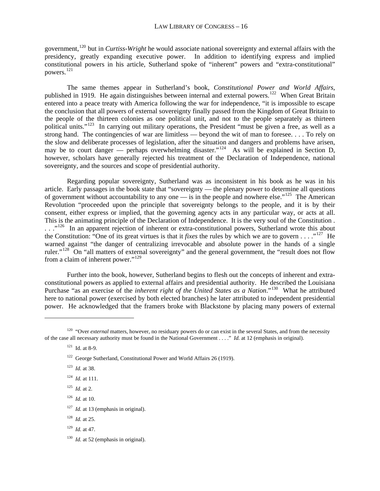government,[120](#page-16-0) but in *Curtiss-Wright* he would associate national sovereignty and external affairs with the presidency, greatly expanding executive power. In addition to identifying express and implied constitutional powers in his article, Sutherland spoke of "inherent" powers and "extra-constitutional" powers.<sup>[121](#page-16-1)</sup>

The same themes appear in Sutherland's book, *Constitutional Power and World Affairs*, published in 1919. He again distinguishes between internal and external powers.<sup>[122](#page-16-2)</sup> When Great Britain entered into a peace treaty with America following the war for independence, "it is impossible to escape the conclusion that all powers of external sovereignty finally passed from the Kingdom of Great Britain to the people of the thirteen colonies as one political unit, and not to the people separately as thirteen political units."<sup>[123](#page-16-3)</sup> In carrying out military operations, the President "must be given a free, as well as a strong hand. The contingencies of war are limitless — beyond the wit of man to foresee. . . . To rely on the slow and deliberate processes of legislation, after the situation and dangers and problems have arisen, may be to court danger — perhaps overwhelming disaster."<sup>[124](#page-16-4)</sup> As will be explained in Section D, however, scholars have generally rejected his treatment of the Declaration of Independence, national sovereignty, and the sources and scope of presidential authority.

Regarding popular sovereignty, Sutherland was as inconsistent in his book as he was in his article. Early passages in the book state that "sovereignty — the plenary power to determine all questions of government without accountability to any one — is in the people and nowhere else."<sup>[125](#page-16-5)</sup> The American Revolution "proceeded upon the principle that sovereignty belongs to the people, and it is by their consent, either express or implied, that the governing agency acts in any particular way, or acts at all. This is the animating principle of the Declaration of Independence. It is the very soul of the Constitution . . . ."<sup>[126](#page-16-6)</sup> In an apparent rejection of inherent or extra-constitutional powers, Sutherland wrote this about the Constitution: "One of its great virtues is that it *fixes* the rules by which we are to govern . . . ."[127](#page-16-7) He warned against "the danger of centralizing irrevocable and absolute power in the hands of a single ruler."<sup>[128](#page-16-8)</sup> On "all matters of external sovereignty" and the general government, the "result does not flow from a claim of inherent power."<sup>[129](#page-16-9)</sup>

Further into the book, however, Sutherland begins to flesh out the concepts of inherent and extraconstitutional powers as applied to external affairs and presidential authority. He described the Louisiana Purchase "as an exercise of the *inherent right of the United States as a Nation*."[130](#page-16-10) What he attributed here to national power (exercised by both elected branches) he later attributed to independent presidential power. He acknowledged that the framers broke with Blackstone by placing many powers of external

- <span id="page-16-5"></span><sup>125</sup> *Id.* at 2.
- <span id="page-16-6"></span><sup>126</sup> *Id.* at 10.

<span id="page-16-4"></span><span id="page-16-3"></span><span id="page-16-2"></span><span id="page-16-1"></span><span id="page-16-0"></span><sup>&</sup>lt;sup>120</sup> "Over *external* matters, however, no residuary powers do or can exist in the several States, and from the necessity of the case all necessary authority must be found in the National Government . . . ." *Id.* at 12 (emphasis in original).

 $121$  Id. at 8-9.

<sup>&</sup>lt;sup>122</sup> George Sutherland, Constitutional Power and World Affairs 26 (1919).

<sup>123</sup> *Id.* at 38.

<sup>124</sup> *Id.* at 111.

<span id="page-16-7"></span><sup>&</sup>lt;sup>127</sup> *Id.* at 13 (emphasis in original).

<span id="page-16-8"></span><sup>128</sup> *Id.* at 25.

<span id="page-16-9"></span><sup>129</sup> *Id.* at 47.

<span id="page-16-10"></span><sup>&</sup>lt;sup>130</sup> *Id.* at 52 (emphasis in original).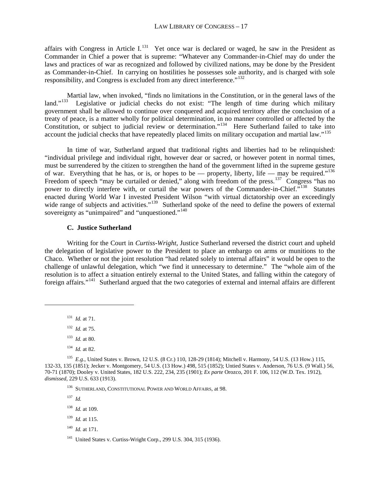affairs with Congress in Article I.<sup>[131](#page-17-0)</sup> Yet once war is declared or waged, he saw in the President as Commander in Chief a power that is supreme: "Whatever any Commander-in-Chief may do under the laws and practices of war as recognized and followed by civilized nations, may be done by the President as Commander-in-Chief. In carrying on hostilities he possesses sole authority, and is charged with sole responsibility, and Congress is excluded from any direct interference."<sup>[132](#page-17-1)</sup>

Martial law, when invoked, "finds no limitations in the Constitution, or in the general laws of the land."<sup>133</sup> Legislative or judicial checks do not exist: "The length of time during which military Legislative or judicial checks do not exist: "The length of time during which military government shall be allowed to continue over conquered and acquired territory after the conclusion of a treaty of peace, is a matter wholly for political determination, in no manner controlled or affected by the Constitution, or subject to judicial review or determination."<sup>[134](#page-17-3)</sup> Here Sutherland failed to take into account the judicial checks that have repeatedly placed limits on military occupation and martial law."<sup>[135](#page-17-4)</sup>

In time of war, Sutherland argued that traditional rights and liberties had to be relinquished: "individual privilege and individual right, however dear or sacred, or however potent in normal times, must be surrendered by the citizen to strengthen the hand of the government lifted in the supreme gesture of war. Everything that he has, or is, or hopes to be — property, liberty, life — may be required."[136](#page-17-5)  Freedom of speech "may be curtailed or denied," along with freedom of the press.<sup>[137](#page-17-6)</sup> Congress "has no power to directly interfere with, or curtail the war powers of the Commander-in-Chief."<sup>[138](#page-17-7)</sup> Statutes enacted during World War I invested President Wilson "with virtual dictatorship over an exceedingly wide range of subjects and activities."<sup>[139](#page-17-8)</sup> Sutherland spoke of the need to define the powers of external sovereignty as "unimpaired" and "unquestioned."<sup>[140](#page-17-9)</sup>

#### **C. Justice Sutherland**

Writing for the Court in *Curtiss-Wright*, Justice Sutherland reversed the district court and upheld the delegation of legislative power to the President to place an embargo on arms or munitions to the Chaco. Whether or not the joint resolution "had related solely to internal affairs" it would be open to the challenge of unlawful delegation, which "we find it unnecessary to determine." The "whole aim of the resolution is to affect a situation entirely external to the United States, and falling within the category of foreign affairs."<sup>[141](#page-17-10)</sup> Sutherland argued that the two categories of external and internal affairs are different

131 *Id.* at 71.

<span id="page-17-1"></span><span id="page-17-0"></span>l

<sup>132</sup> *Id.* at 75.

<sup>133</sup> *Id.* at 80.

134 *Id.* at 82.

136 SUTHERLAND, CONSTITUTIONAL POWER AND WORLD AFFAIRS, at 98.

 $137$  *Id.* 

- <span id="page-17-7"></span><sup>138</sup> *Id.* at 109.
- <span id="page-17-8"></span>139 *Id.* at 115.
- <span id="page-17-9"></span>140 *Id.* at 171.

<span id="page-17-10"></span>141 United States v. Curtiss-Wright Corp., 299 U.S. 304, 315 (1936).

<span id="page-17-6"></span><span id="page-17-5"></span><span id="page-17-4"></span><span id="page-17-3"></span><span id="page-17-2"></span><sup>135</sup> *E.g*., United States v. Brown, 12 U.S. (8 Cr.) 110, 128-29 (1814); Mitchell v. Harmony, 54 U.S. (13 How.) 115, 132-33, 135 (1851); Jecker v. Montgomery, 54 U.S. (13 How.) 498, 515 (1852); Untied States v. Anderson, 76 U.S. (9 Wall.) 56, 70-71 (1870); Dooley v. United States, 182 U.S. 222, 234, 235 (1901); *Ex parte* Orozco, 201 F. 106, 112 (W.D. Tex. 1912), *dismissed*, 229 U.S. 633 (1913).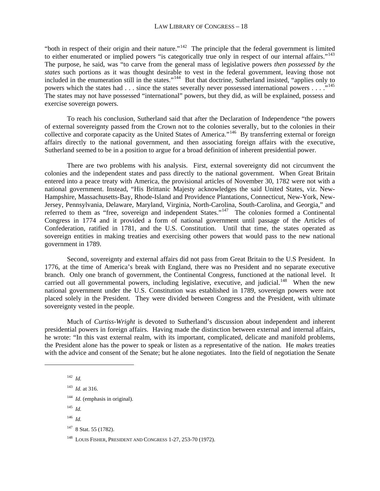"both in respect of their origin and their nature."<sup>[142](#page-18-0)</sup> The principle that the federal government is limited to either enumerated or implied powers "is categorically true only in respect of our internal affairs."<sup>143</sup> The purpose, he said, was "to carve from the general mass of legislative powers *then possessed by the states* such portions as it was thought desirable to vest in the federal government, leaving those not included in the enumeration still in the states."[144](#page-18-2) But that doctrine, Sutherland insisted, "applies only to powers which the states had . . . since the states severally never possessed international powers . . . .<sup>145</sup> The states may not have possessed "international" powers, but they did, as will be explained, possess and exercise sovereign powers.

To reach his conclusion, Sutherland said that after the Declaration of Independence "the powers of external sovereignty passed from the Crown not to the colonies severally, but to the colonies in their collective and corporate capacity as the United States of America."<sup>[146](#page-18-4)</sup> By transferring external or foreign affairs directly to the national government, and then associating foreign affairs with the executive, Sutherland seemed to be in a position to argue for a broad definition of inherent presidential power.

There are two problems with his analysis. First, external sovereignty did not circumvent the colonies and the independent states and pass directly to the national government. When Great Britain entered into a peace treaty with America, the provisional articles of November 30, 1782 were not with a national government. Instead, "His Brittanic Majesty acknowledges the said United States, viz. New-Hampshire, Massachusetts-Bay, Rhode-Island and Providence Plantations, Connecticut, New-York, New-Jersey, Pennsylvania, Delaware, Maryland, Virginia, North-Carolina, South-Carolina, and Georgia," and referred to them as "free, sovereign and independent States."<sup>[147](#page-18-5)</sup> The colonies formed a Continental Congress in 1774 and it provided a form of national government until passage of the Articles of Confederation, ratified in 1781, and the U.S. Constitution. Until that time, the states operated as sovereign entities in making treaties and exercising other powers that would pass to the new national government in 1789.

Second, sovereignty and external affairs did not pass from Great Britain to the U.S President. In 1776, at the time of America's break with England, there was no President and no separate executive branch. Only one branch of government, the Continental Congress, functioned at the national level. It carried out all governmental powers, including legislative, executive, and judicial.<sup>[148](#page-18-6)</sup> When the new national government under the U.S. Constitution was established in 1789, sovereign powers were not placed solely in the President. They were divided between Congress and the President, with ultimate sovereignty vested in the people.

Much of *Curtiss-Wright* is devoted to Sutherland's discussion about independent and inherent presidential powers in foreign affairs. Having made the distinction between external and internal affairs, he wrote: "In this vast external realm, with its important, complicated, delicate and manifold problems, the President alone has the power to speak or listen as a representative of the nation. He *makes* treaties with the advice and consent of the Senate; but he alone negotiates. Into the field of negotiation the Senate

142 *Id.* 

<span id="page-18-3"></span><span id="page-18-2"></span><span id="page-18-1"></span><span id="page-18-0"></span>l

143 *Id.* at 316.

<sup>144</sup> *Id.* (emphasis in original).

145 *Id.* 

<span id="page-18-4"></span><sup>146</sup> *Id.* 

<span id="page-18-5"></span> $147$  8 Stat. 55 (1782).

<span id="page-18-6"></span>148 LOUIS FISHER, PRESIDENT AND CONGRESS 1-27, 253-70 (1972).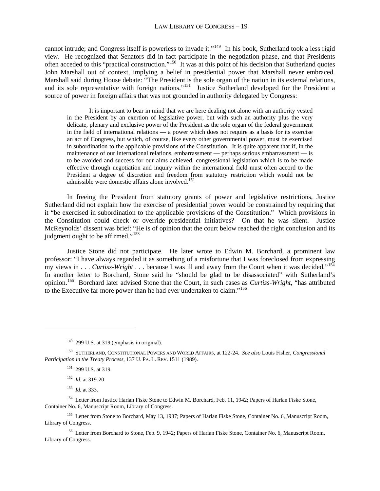cannot intrude; and Congress itself is powerless to invade it."<sup>[149](#page-19-0)</sup> In his book, Sutherland took a less rigid view. He recognized that Senators did in fact participate in the negotiation phase, and that Presidents often acceded to this "practical construction."<sup>[150](#page-19-1)</sup> It was at this point of his decision that Sutherland quotes John Marshall out of context, implying a belief in presidential power that Marshall never embraced. Marshall said during House debate: "The President is the sole organ of the nation in its external relations, and its sole representative with foreign nations."<sup>151</sup> Justice Sutherland developed for the President a source of power in foreign affairs that was not grounded in authority delegated by Congress:

It is important to bear in mind that we are here dealing not alone with an authority vested in the President by an exertion of legislative power, but with such an authority plus the very delicate, plenary and exclusive power of the President as the sole organ of the federal government in the field of international relations — a power which does not require as a basis for its exercise an act of Congress, but which, of course, like every other governmental power, must be exercised in subordination to the applicable provisions of the Constitution. It is quite apparent that if, in the maintenance of our international relations, embarrassment — perhaps serious embarrassment — is to be avoided and success for our aims achieved, congressional legislation which is to be made effective through negotiation and inquiry within the international field must often accord to the President a degree of discretion and freedom from statutory restriction which would not be admissible were domestic affairs alone involved.<sup>[152](#page-19-3)</sup>

In freeing the President from statutory grants of power and legislative restrictions, Justice Sutherland did not explain how the exercise of presidential power would be constrained by requiring that it "be exercised in subordination to the applicable provisions of the Constitution." Which provisions in the Constitution could check or override presidential initiatives? On that he was silent. Justice McReynolds' dissent was brief: "He is of opinion that the court below reached the right conclusion and its judgment ought to be affirmed."<sup>[153](#page-19-4)</sup>

Justice Stone did not participate. He later wrote to Edwin M. Borchard, a prominent law professor: "I have always regarded it as something of a misfortune that I was foreclosed from expressing my views in . . . *Curtiss-Wright* . . . because I was ill and away from the Court when it was decided."<sup>154</sup> In another letter to Borchard, Stone said he "should be glad to be disassociated" with Sutherland's opinion.[155](#page-19-6) Borchard later advised Stone that the Court, in such cases as *Curtiss-Wright*, "has attributed to the Executive far more power than he had ever undertaken to claim."[156](#page-19-7)

153 *Id.* at 333.

l

<span id="page-19-5"></span><span id="page-19-4"></span><span id="page-19-3"></span><sup>154</sup> Letter from Justice Harlan Fiske Stone to Edwin M. Borchard, Feb. 11, 1942; Papers of Harlan Fiske Stone, Container No. 6, Manuscript Room, Library of Congress.

<span id="page-19-6"></span><sup>155</sup> Letter from Stone to Borchard, May 13, 1937; Papers of Harlan Fiske Stone, Container No. 6, Manuscript Room, Library of Congress.

<span id="page-19-7"></span><sup>156</sup> Letter from Borchard to Stone, Feb. 9, 1942; Papers of Harlan Fiske Stone, Container No. 6, Manuscript Room, Library of Congress.

 $149$  299 U.S. at 319 (emphasis in original).

<span id="page-19-2"></span><span id="page-19-1"></span><span id="page-19-0"></span><sup>150</sup> SUTHERLAND, CONSTITUTIONAL POWERS AND WORLD AFFAIRS, at 122-24. *See also* Louis Fisher, *Congressional Participation in the Treaty Process*, 137 U. PA. L. REV. 1511 (1989).

<sup>151 299</sup> U.S. at 319.

<sup>152</sup> *Id.* at 319-20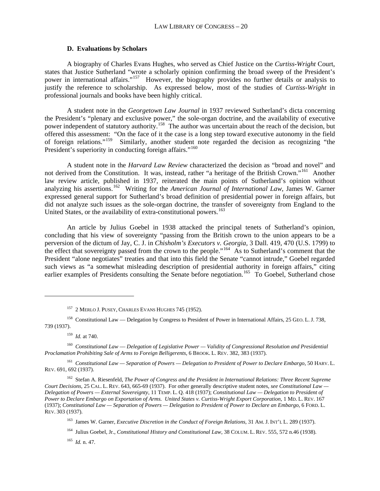#### **D. Evaluations by Scholars**

A biography of Charles Evans Hughes, who served as Chief Justice on the *Curtiss-Wright* Court, states that Justice Sutherland "wrote a scholarly opinion confirming the broad sweep of the President's power in international affairs."<sup>[157](#page-20-0)</sup> However, the biography provides no further details or analysis to justify the reference to scholarship. As expressed below, most of the studies of *Curtiss-Wright* in professional journals and books have been highly critical.

A student note in the *Georgetown Law Journal* in 1937 reviewed Sutherland's dicta concerning the President's "plenary and exclusive power," the sole-organ doctrine, and the availability of executive power independent of statutory authority.[158](#page-20-1) The author was uncertain about the reach of the decision, but offered this assessment: "On the face of it the case is a long step toward executive autonomy in the field of foreign relations."[159](#page-20-2) Similarly, another student note regarded the decision as recognizing "the President's superiority in conducting foreign affairs."<sup>[160](#page-20-3)</sup>

A student note in the *Harvard Law Review* characterized the decision as "broad and novel" and not derived from the Constitution. It was, instead, rather "a heritage of the British Crown."<sup>[161](#page-20-4)</sup> Another law review article, published in 1937, reiterated the main points of Sutherland's opinion without analyzing his assertions.[162](#page-20-5) Writing for the *American Journal of International Law*, James W. Garner expressed general support for Sutherland's broad definition of presidential power in foreign affairs, but did not analyze such issues as the sole-organ doctrine, the transfer of sovereignty from England to the United States, or the availability of extra-constitutional powers.<sup>[163](#page-20-6)</sup>

An article by Julius Goebel in 1938 attacked the principal tenets of Sutherland's opinion, concluding that his view of sovereignty "passing from the British crown to the union appears to be a perversion of the dictum of Jay, C. J. in *Chisholm's Executors v. Georgia,* 3 Dall. 419, 470 (U.S. 1799) to the effect that sovereignty passed from the crown to the people."<sup>[164](#page-20-7)</sup> As to Sutherland's comment that the President "alone negotiates" treaties and that into this field the Senate "cannot intrude," Goebel regarded such views as "a somewhat misleading description of presidential authority in foreign affairs," citing earlier examples of Presidents consulting the Senate before negotiation.<sup>[165](#page-20-8)</sup> To Goebel, Sutherland chose

l

<span id="page-20-8"></span>165 *Id.* n. 47.

<sup>&</sup>lt;sup>157</sup> 2 MERLO J. PUSEY, CHARLES EVANS HUGHES 745 (1952).

<span id="page-20-1"></span><span id="page-20-0"></span><sup>&</sup>lt;sup>158</sup> Constitutional Law — Delegation by Congress to President of Power in International Affairs, 25 GEO. L. J. 738, 739 (1937).

<sup>159</sup> *Id.* at 740.

<span id="page-20-3"></span><span id="page-20-2"></span><sup>160</sup> *Constitutional Law –– Delegation of Legislative Power — Validity of Congressional Resolution and Presidential Proclamation Prohibiting Sale of Arms to Foreign Belligerents*, 6 BROOK. L. REV. 382, 383 (1937).

<span id="page-20-4"></span><sup>161</sup> *Constitutional Law — Separation of Powers — Delegation to President of Power to Declare Embargo*, 50 HARV. L. REV. 691, 692 (1937).

<span id="page-20-6"></span><span id="page-20-5"></span><sup>162</sup> Stefan A. Riesenfeld, *The Power of Congress and the President in International Relations: Three Recent Supreme Court Decisions*, 25 CAL. L. REV. 643, 665-69 (1937). For other generally descriptive student notes, *see Constitutional Law — Delegation of Powers — External Sovereignty*, 11 TEMP. L. Q. 418 (1937); *Constitutional Law — Delegation to President of Power to Declare Embargo on Exportation of Arms. United States v. Curtiss-Wright Export Corporation*, 1 MD. L. REV. 167 (1937); *Constitutional Law — Separation of Powers — Delegation to President of Power to Declare an Embargo*, 6 FORD. L. REV. 303 (1937).

<sup>163</sup> James W. Garner, *Executive Discretion in the Conduct of Foreign Relations*, 31 AM. J. INT'L L. 289 (1937).

<span id="page-20-7"></span><sup>164</sup> Julius Goebel, Jr., *Constitutional History and Constitutional Law,* 38 COLUM. L. REV. 555, 572 n.46 (1938).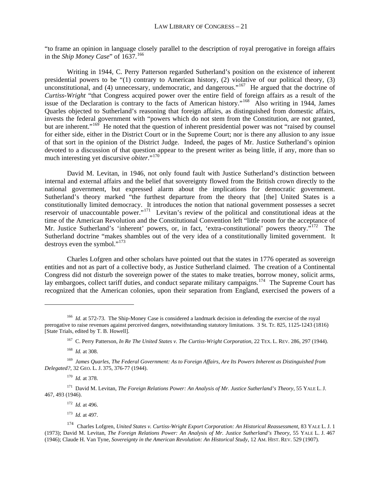"to frame an opinion in language closely parallel to the description of royal prerogative in foreign affairs in the *Ship Money Case*" of 1637.<sup>[166](#page-21-0)</sup>

Writing in 1944, C. Perry Patterson regarded Sutherland's position on the existence of inherent presidential powers to be "(1) contrary to American history, (2) violative of our political theory, (3) unconstitutional, and (4) unnecessary, undemocratic, and dangerous."<sup>[167](#page-21-1)</sup> He argued that the doctrine of *Curtiss-Wright* "that Congress acquired power over the entire field of foreign affairs as a result of the issue of the Declaration is contrary to the facts of American history."<sup>[168](#page-21-2)</sup> Also writing in 1944, James Quarles objected to Sutherland's reasoning that foreign affairs, as distinguished from domestic affairs, invests the federal government with "powers which do not stem from the Constitution, are not granted, but are inherent."<sup>[169](#page-21-3)</sup> He noted that the question of inherent presidential power was not "raised by counsel" for either side, either in the District Court or in the Supreme Court; nor is there any allusion to any issue of that sort in the opinion of the District Judge. Indeed, the pages of Mr. Justice Sutherland's opinion devoted to a discussion of that question appear to the present writer as being little, if any, more than so much interesting yet discursive *obiter*."[170](#page-21-4)

David M. Levitan, in 1946, not only found fault with Justice Sutherland's distinction between internal and external affairs and the belief that sovereignty flowed from the British crown directly to the national government, but expressed alarm about the implications for democratic government. Sutherland's theory marked "the furthest departure from the theory that [the] United States is a constitutionally limited democracy. It introduces the notion that national government possesses a secret reservoir of unaccountable power."[171](#page-21-5) Levitan's review of the political and constitutional ideas at the time of the American Revolution and the Constitutional Convention left "little room for the acceptance of Mr. Justice Sutherland's 'inherent' powers, or, in fact, 'extra-constitutional' powers theory."<sup>[172](#page-21-6)</sup> The Sutherland doctrine "makes shambles out of the very idea of a constitutionally limited government. It destroys even the symbol."[173](#page-21-7)

Charles Lofgren and other scholars have pointed out that the states in 1776 operated as sovereign entities and not as part of a collective body, as Justice Sutherland claimed. The creation of a Continental Congress did not disturb the sovereign power of the states to make treaties, borrow money, solicit arms, lay embargoes, collect tariff duties, and conduct separate military campaigns.<sup>[174](#page-21-8)</sup> The Supreme Court has recognized that the American colonies, upon their separation from England, exercised the powers of a

168 *Id.* at 308.

l

172 *Id.* at 496.

173 *Id.* at 497.

<span id="page-21-0"></span><sup>&</sup>lt;sup>166</sup> *Id.* at 572-73. The Ship-Money Case is considered a landmark decision in defending the exercise of the royal prerogative to raise revenues against perceived dangers, notwithstanding statutory limitations. 3 St. Tr. 825, 1125-1243 (1816) [State Trials, edited by T. B. Howell].

<sup>167</sup> C. Perry Patterson, *In Re The United States v. The Curtiss-Wright Corporation*, 22 TEX. L. REV. 286, 297 (1944).

<span id="page-21-3"></span><span id="page-21-2"></span><span id="page-21-1"></span><sup>169</sup> *James Quarles, The Federal Government: As to Foreign Affairs, Are Its Powers Inherent as Distinguished from Delegated?*, 32 GEO. L. J. 375, 376-77 (1944).

<sup>170</sup> *Id.* at 378.

<span id="page-21-6"></span><span id="page-21-5"></span><span id="page-21-4"></span><sup>&</sup>lt;sup>171</sup> David M. Levitan, *The Foreign Relations Power: An Analysis of Mr. Justice Sutherland's Theory*, 55 YALE L. J. 467, 493 (1946).

<span id="page-21-8"></span><span id="page-21-7"></span><sup>174</sup> Charles Lofgren, *United States v. Curtiss-Wright Export Corporation: An Historical Reassessment*, 83 YALE L. J. 1 (1973); David M. Levitan, *The Foreign Relations Power: An Analysis of Mr. Justice Sutherland's Theory*, 55 YALE L. J. 467 (1946); Claude H. Van Tyne, *Sovereignty in the American Revolution: An Historical Study*, 12 AM. HIST. REV. 529 (1907).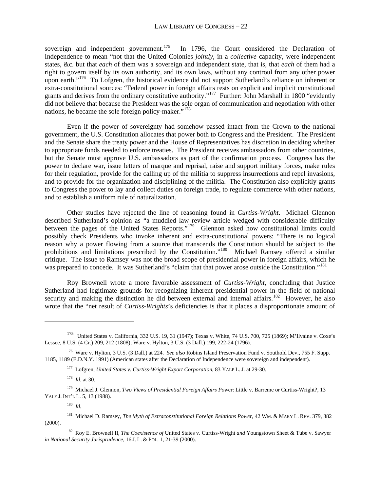sovereign and independent government.<sup>175</sup> In 1796, the Court considered the Declaration of Independence to mean "not that the United Colonies *jointly*, in a *collective* capacity, were independent states, &c. but that *each* of them was a sovereign and independent state, that is, that *each* of them had a right to govern itself by its own authority, and its own laws, without any controul from any other power upon earth."<sup>[176](#page-22-1)</sup> To Lofgren, the historical evidence did not support Sutherland's reliance on inherent or extra-constitutional sources: "Federal power in foreign affairs rests on explicit and implicit constitutional grants and derives from the ordinary constitutive authority."<sup>[177](#page-22-2)</sup> Further: John Marshall in 1800 "evidently" did not believe that because the President was the sole organ of communication and negotiation with other nations, he became the sole foreign policy-maker."<sup>[178](#page-22-3)</sup>

Even if the power of sovereignty had somehow passed intact from the Crown to the national government, the U.S. Constitution allocates that power both to Congress and the President. The President and the Senate share the treaty power and the House of Representatives has discretion in deciding whether to appropriate funds needed to enforce treaties. The President receives ambassadors from other countries, but the Senate must approve U.S. ambassadors as part of the confirmation process. Congress has the power to declare war, issue letters of marque and reprisal, raise and support military forces, make rules for their regulation, provide for the calling up of the militia to suppress insurrections and repel invasions, and to provide for the organization and disciplining of the militia. The Constitution also explicitly grants to Congress the power to lay and collect duties on foreign trade, to regulate commerce with other nations, and to establish a uniform rule of naturalization.

Other studies have rejected the line of reasoning found in *Curtiss-Wright*. Michael Glennon described Sutherland's opinion as "a muddled law review article wedged with considerable difficulty between the pages of the United States Reports."<sup>[179](#page-22-4)</sup> Glennon asked how constitutional limits could possibly check Presidents who invoke inherent and extra-constitutional powers: "There is no logical reason why a power flowing from a source that transcends the Constitution should be subject to the prohibitions and limitations prescribed by the Constitution."[180](#page-22-5) Michael Ramsey offered a similar critique. The issue to Ramsey was not the broad scope of presidential power in foreign affairs, which he was prepared to concede. It was Sutherland's "claim that that power arose outside the Constitution."<sup>[181](#page-22-6)</sup>

Roy Brownell wrote a more favorable assessment of *Curtiss-Wright*, concluding that Justice Sutherland had legitimate grounds for recognizing inherent presidential power in the field of national security and making the distinction he did between external and internal affairs.<sup>[182](#page-22-7)</sup> However, he also wrote that the "net result of *Curtiss-Wrights*'s deficiencies is that it places a disproportionate amount of

<span id="page-22-4"></span><span id="page-22-3"></span>179 Michael J. Glennon, *Two Views of Presidential Foreign Affairs Pow*er: Little v. Barreme or Curtiss-Wright?, 13 YALE J. INT'L L. 5, 13 (1988).

 $180$  *Id.* 

-

<span id="page-22-0"></span><sup>175</sup> United States v. California, 332 U.S. 19, 31 (1947); Texas v. White, 74 U.S. 700, 725 (1869); M'Ilvaine v. Coxe's Lessee, 8 U.S. (4 Cr.) 209, 212 (1808); Ware v. Hylton, 3 U.S. (3 Dall.) 199, 222-24 (1796).

<span id="page-22-2"></span><span id="page-22-1"></span><sup>176</sup> Ware v. Hylton, 3 U.S. (3 Dall.) at 224. *See also* Robins Island Preservation Fund v. Southold Dev., 755 F. Supp. 1185, 1189 (E.D.N.Y. 1991) (American states after the Declaration of Independence were sovereign and independent).

<sup>177</sup> Lofgren, *United States v. Curtiss-Wright Export Corporation*, 83 YALE L. J. at 29-30.

<sup>178</sup> *Id.* at 30.

<span id="page-22-6"></span><span id="page-22-5"></span><sup>181</sup> Michael D. Ramsey, *The Myth of Extraconstitutional Foreign Relations Power*, 42 WM. & MARY L. REV. 379, 382 (2000).

<span id="page-22-7"></span><sup>182</sup> Roy E. Brownell II, *The Coexistence of* United States v. Curtiss-Wright *and* Youngstown Sheet & Tube v. Sawyer *in National Security Jurisprudence*, 16 J. L. & POL. 1, 21-39 (2000).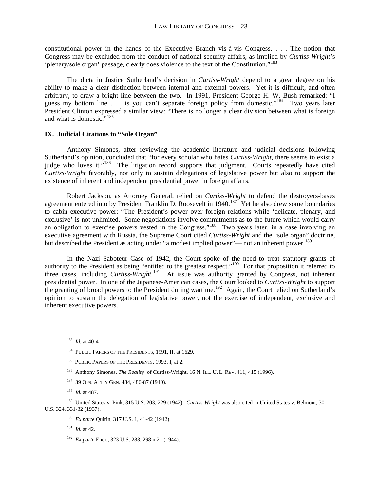constitutional power in the hands of the Executive Branch vis-à-vis Congress. . . . The notion that Congress may be excluded from the conduct of national security affairs, as implied by *Curtiss-Wright*'s 'plenary/sole organ' passage, clearly does violence to the text of the Constitution."[183](#page-23-0)

The dicta in Justice Sutherland's decision in *Curtiss-Wright* depend to a great degree on his ability to make a clear distinction between internal and external powers. Yet it is difficult, and often arbitrary, to draw a bright line between the two. In 1991, President George H. W. Bush remarked: "I guess my bottom line . . . is you can't separate foreign policy from domestic."[184](#page-23-1) Two years later President Clinton expressed a similar view: "There is no longer a clear division between what is foreign and what is domestic."<sup>[185](#page-23-2)</sup>

#### **IX. Judicial Citations to "Sole Organ"**

Anthony Simones, after reviewing the academic literature and judicial decisions following Sutherland's opinion, concluded that "for every scholar who hates *Curtiss-Wright*, there seems to exist a judge who loves it."<sup>[186](#page-23-3)</sup> The litigation record supports that judgment. Courts repeatedly have cited *Curtiss*-*Wright* favorably, not only to sustain delegations of legislative power but also to support the existence of inherent and independent presidential power in foreign affairs.

Robert Jackson, as Attorney General, relied on *Curtiss-Wright* to defend the destroyers-bases agreement entered into by President Franklin D. Roosevelt in 1940.<sup>[187](#page-23-4)</sup> Yet he also drew some boundaries to cabin executive power: "The President's power over foreign relations while 'delicate, plenary, and exclusive' is not unlimited. Some negotiations involve commitments as to the future which would carry an obligation to exercise powers vested in the Congress."<sup>[188](#page-23-5)</sup> Two years later, in a case involving an executive agreement with Russia, the Supreme Court cited *Curtiss-Wright* and the "sole organ" doctrine, but described the President as acting under "a modest implied power"— not an inherent power.<sup>[189](#page-23-6)</sup>

In the Nazi Saboteur Case of 1942, the Court spoke of the need to treat statutory grants of authority to the President as being "entitled to the greatest respect."[190](#page-23-7) For that proposition it referred to three cases, including *Curtiss-Wright*. [191](#page-23-8) At issue was authority granted by Congress, not inherent presidential power. In one of the Japanese-American cases, the Court looked to *Curtiss-Wright* to support the granting of broad powers to the President during wartime.<sup>[192](#page-23-9)</sup> Again, the Court relied on Sutherland's opinion to sustain the delegation of legislative power, not the exercise of independent, exclusive and inherent executive powers.

<span id="page-23-2"></span><span id="page-23-1"></span><span id="page-23-0"></span>1

187 39 OPS. ATT'Y GEN. 484, 486-87 (1940).

188 *Id.* at 487.

<sup>191</sup> *Id.* at 42.

<sup>183</sup> *Id.* at 40-41.

<sup>&</sup>lt;sup>184</sup> PUBLIC PAPERS OF THE PRESIDENTS, 1991, II, at 1629.

<sup>&</sup>lt;sup>185</sup> PUBLIC PAPERS OF THE PRESIDENTS, 1993, I, at 2.

<sup>&</sup>lt;sup>186</sup> Anthony Simones, *The Reality* of Curtiss-Wright, 16 N. ILL. U. L. REV. 411, 415 (1996).

<span id="page-23-9"></span><span id="page-23-8"></span><span id="page-23-7"></span><span id="page-23-6"></span><span id="page-23-5"></span><span id="page-23-4"></span><span id="page-23-3"></span><sup>189</sup> United States v. Pink, 315 U.S. 203, 229 (1942). *Curtiss-Wright* was also cited in United States v. Belmont, 301 U.S. 324, 331-32 (1937).

<sup>190</sup> *Ex parte* Quirin, 317 U.S. 1, 41-42 (1942).

<sup>192</sup> *Ex parte* Endo, 323 U.S. 283, 298 n.21 (1944).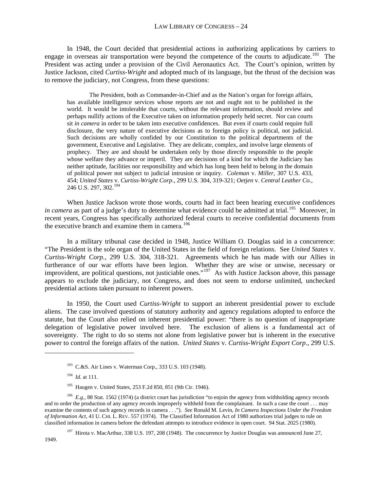In 1948, the Court decided that presidential actions in authorizing applications by carriers to engage in overseas air transportation were beyond the competence of the courts to adjudicate.<sup>[193](#page-24-0)</sup> The President was acting under a provision of the Civil Aeronautics Act. The Court's opinion, written by Justice Jackson, cited *Curtiss-Wright* and adopted much of its language, but the thrust of the decision was to remove the judiciary, not Congress, from these questions:

The President, both as Commander-in-Chief and as the Nation's organ for foreign affairs, has available intelligence services whose reports are not and ought not to be published in the world. It would be intolerable that courts, without the relevant information, should review and perhaps nullify actions of the Executive taken on information properly held secret. Nor can courts sit *in camera* in order to be taken into executive confidences. But even if courts could require full disclosure, the very nature of executive decisions as to foreign policy is political, not judicial. Such decisions are wholly confided by our Constitution to the political departments of the government, Executive and Legislative. They are delicate, complex, and involve large elements of prophecy. They are and should be undertaken only by those directly responsible to the people whose welfare they advance or imperil. They are decisions of a kind for which the Judiciary has neither aptitude, facilities nor responsibility and which has long been held to belong in the domain of political power not subject to judicial intrusion or inquiry. *Coleman* v. *Miller*, 307 U.S. 433, 454; *United States* v. *Curtiss-Wright Corp*., 299 U.S. 304, 319-321; *Oetjen* v. *Central Leather Co.*, 246 U.S. 297, 302.<sup>[194](#page-24-1)</sup>

When Justice Jackson wrote those words, courts had in fact been hearing executive confidences *in camera* as part of a judge's duty to determine what evidence could be admitted at trial.<sup>[195](#page-24-2)</sup> Moreover, in recent years, Congress has specifically authorized federal courts to receive confidential documents from the executive branch and examine them in camera.<sup>[196](#page-24-3)</sup>

In a military tribunal case decided in 1948, Justice William O. Douglas said in a concurrence: "The President is the sole organ of the United States in the field of foreign relations. See *United States* v. *Curtiss-Wright Corp.*, 299 U.S. 304, 318-321. Agreements which he has made with our Allies in furtherance of our war efforts have been legion. Whether they are wise or unwise, necessary or improvident, are political questions, not justiciable ones."[197](#page-24-4) As with Justice Jackson above, this passage appears to exclude the judiciary, not Congress, and does not seem to endorse unlimited, unchecked presidential actions taken pursuant to inherent powers.

In 1950, the Court used *Curtiss-Wright* to support an inherent presidential power to exclude aliens. The case involved questions of statutory authority and agency regulations adopted to enforce the statute, but the Court also relied on inherent presidential power: "there is no question of inappropriate delegation of legislative power involved here. The exclusion of aliens is a fundamental act of sovereignty. The right to do so stems not alone from legislative power but is inherent in the executive power to control the foreign affairs of the nation. *United States* v. *Curtiss-Wright Export Corp*., 299 U.S.

<span id="page-24-0"></span>l

<span id="page-24-4"></span><sup>197</sup> Hirota v. MacArthur, 338 U.S. 197, 208 (1948). The concurrence by Justice Douglas was announced June 27, 1949.

<sup>193</sup> C.&S. Air Lines v. Waterman Corp., 333 U.S. 103 (1948).

<sup>194</sup> *Id.* at 111.

<sup>195</sup> Haugen v. United States, 253 F.2d 850, 851 (9th Cir. 1946).

<span id="page-24-3"></span><span id="page-24-2"></span><span id="page-24-1"></span><sup>196</sup> *E.g.,* 88 Stat. 1562 (1974) (a district court has jurisdiction "to enjoin the agency from withholding agency records and to order the production of any agency records improperly withheld from the complainant. In such a case the court . . . may examine the contents of such agency records in camera . . ."). *See* Ronald M. Levin, *In Camera Inspections Under the Freedom of Information Act*, 41 U. CHI. L. REV. 557 (1974). The Classified Information Act of 1980 authorizes trial judges to rule on classified information in camera before the defendant attempts to introduce evidence in open court. 94 Stat. 2025 (1980).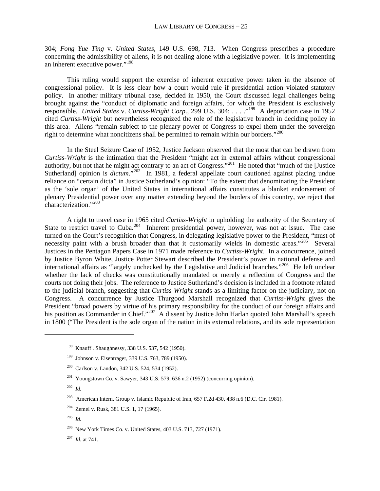304; *Fong Yue Ting* v. *United States*, 149 U.S. 698, 713. When Congress prescribes a procedure concerning the admissibility of aliens, it is not dealing alone with a legislative power. It is implementing an inherent executive power."[198](#page-25-0)

This ruling would support the exercise of inherent executive power taken in the absence of congressional policy. It is less clear how a court would rule if presidential action violated statutory policy. In another military tribunal case, decided in 1950, the Court discussed legal challenges being brought against the "conduct of diplomatic and foreign affairs, for which the President is exclusively responsible. *United States* v. *Curtiss-Wright Corp*., 299 U.S. 304; . . . ."[199](#page-25-1) A deportation case in 1952 cited *Curtiss-Wright* but nevertheless recognized the role of the legislative branch in deciding policy in this area. Aliens "remain subject to the plenary power of Congress to expel them under the sovereign right to determine what noncitizens shall be permitted to remain within our borders."<sup>[200](#page-25-2)</sup>

In the Steel Seizure Case of 1952, Justice Jackson observed that the most that can be drawn from *Curtiss-Wright* is the intimation that the President "might act in external affairs without congressional authority, but not that he might act contrary to an act of Congress."[201](#page-25-3) He noted that "much of the [Justice Sutherland] opinion is *dictum*."<sup>[202](#page-25-4)</sup> In 1981, a federal appellate court cautioned against placing undue reliance on "certain dicta" in Justice Sutherland's opinion: "To the extent that denominating the President as the 'sole organ' of the United States in international affairs constitutes a blanket endorsement of plenary Presidential power over any matter extending beyond the borders of this country, we reject that characterization."[203](#page-25-5)

A right to travel case in 1965 cited *Curtiss-Wright* in upholding the authority of the Secretary of State to restrict travel to Cuba.<sup>[204](#page-25-6)</sup> Inherent presidential power, however, was not at issue. The case turned on the Court's recognition that Congress, in delegating legislative power to the President, "must of necessity paint with a brush broader than that it customarily wields in domestic areas."<sup>[205](#page-25-7)</sup> Several Justices in the Pentagon Papers Case in 1971 made reference to *Curtiss-Wright*. In a concurrence, joined by Justice Byron White, Justice Potter Stewart described the President's power in national defense and international affairs as "largely unchecked by the Legislative and Judicial branches."<sup>[206](#page-25-8)</sup> He left unclear whether the lack of checks was constitutionally mandated or merely a reflection of Congress and the courts not doing their jobs. The reference to Justice Sutherland's decision is included in a footnote related to the judicial branch, suggesting that *Curtiss-Wright* stands as a limiting factor on the judiciary, not on Congress. A concurrence by Justice Thurgood Marshall recognized that *Curtiss-Wright* gives the President "broad powers by virtue of his primary responsibility for the conduct of our foreign affairs and his position as Commander in Chief."<sup>[207](#page-25-9)</sup> A dissent by Justice John Harlan quoted John Marshall's speech in 1800 ("The President is the sole organ of the nation in its external relations, and its sole representation

- <span id="page-25-0"></span>198 Knauff . Shaughnessy, 338 U.S. 537, 542 (1950).
- <span id="page-25-1"></span>199 Johnson v. Eisentrager, 339 U.S. 763, 789 (1950).
- <span id="page-25-2"></span>200 Carlson v. Landon, 342 U.S. 524, 534 (1952).
- <span id="page-25-3"></span><sup>201</sup> Youngstown Co. v. Sawyer, 343 U.S. 579, 636 n.2 (1952) (concurring opinion).
- <span id="page-25-4"></span>202 *Id.*

- <span id="page-25-5"></span><sup>203</sup> American Intern. Group v. Islamic Republic of Iran,  $657$  F.2d 430, 438 n.6 (D.C. Cir. 1981).
- <span id="page-25-6"></span>204 Zemel v. Rusk, 381 U.S. 1, 17 (1965).
- <span id="page-25-7"></span>205 *Id.*
- <span id="page-25-8"></span>206 New York Times Co. v. United States, 403 U.S. 713, 727 (1971).
- <span id="page-25-9"></span>207 *Id.* at 741.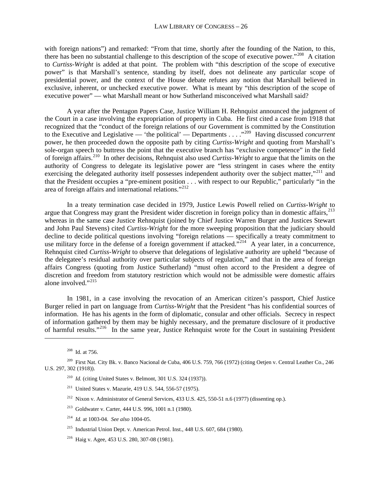with foreign nations") and remarked: "From that time, shortly after the founding of the Nation, to this, there has been no substantial challenge to this description of the scope of executive power."<sup>[208](#page-26-0)</sup> A citation to *Curtiss-Wright* is added at that point. The problem with "this description of the scope of executive power" is that Marshall's sentence, standing by itself, does not delineate any particular scope of presidential power, and the context of the House debate refutes any notion that Marshall believed in exclusive, inherent, or unchecked executive power. What is meant by "this description of the scope of executive power" — what Marshall meant or how Sutherland misconceived what Marshall said?

A year after the Pentagon Papers Case, Justice William H. Rehnquist announced the judgment of the Court in a case involving the expropriation of property in Cuba. He first cited a case from 1918 that recognized that the "conduct of the foreign relations of our Government is committed by the Constitution to the Executive and Legislative — 'the political' — Departments . . . ."[209](#page-26-1) Having discussed *concurrent* power, he then proceeded down the opposite path by citing *Curtiss-Wright* and quoting from Marshall's sole-organ speech to buttress the point that the executive branch has "exclusive competence" in the field of foreign affairs.[210](#page-26-2) In other decisions, Rehnquist also used *Curtiss-Wright* to argue that the limits on the authority of Congress to delegate its legislative power are "less stringent in cases where the entity exercising the delegated authority itself possesses independent authority over the subject matter,"<sup>[211](#page-26-3)</sup> and that the President occupies a "pre-eminent position . . . with respect to our Republic," particularly "in the area of foreign affairs and international relations."[212](#page-26-4)

In a treaty termination case decided in 1979, Justice Lewis Powell relied on *Curtiss-Wright* to argue that Congress may grant the President wider discretion in foreign policy than in domestic affairs, $^{213}$  $^{213}$  $^{213}$ whereas in the same case Justice Rehnquist (joined by Chief Justice Warren Burger and Justices Stewart and John Paul Stevens) cited *Curtiss-Wright* for the more sweeping proposition that the judiciary should decline to decide political questions involving "foreign relations — specifically a treaty commitment to use military force in the defense of a foreign government if attacked." $^{214}$  $^{214}$  $^{214}$  A year later, in a concurrence, Rehnquist cited *Curtiss-Wright* to observe that delegations of legislative authority are upheld "because of the delegatee's residual authority over particular subjects of regulation," and that in the area of foreign affairs Congress (quoting from Justice Sutherland) "must often accord to the President a degree of discretion and freedom from statutory restriction which would not be admissible were domestic affairs alone involved."<sup>[215](#page-26-7)</sup>

In 1981, in a case involving the revocation of an American citizen's passport, Chief Justice Burger relied in part on language from *Curtiss-Wright* that the President "has his confidential sources of information. He has his agents in the form of diplomatic, consular and other officials. Secrecy in respect of information gathered by them may be highly necessary, and the premature disclosure of it productive of harmful results."[216](#page-26-8) In the same year, Justice Rehnquist wrote for the Court in sustaining President

208 Id. at 756.

- 212 Nixon v. Administrator of General Services, 433 U.S. 425, 550-51 n.6 (1977) (dissenting op.).
- 213 Goldwater v. Carter, 444 U.S. 996, 1001 n.1 (1980).
- <span id="page-26-6"></span><sup>214</sup> *Id.* at 1003-04. *See also* 1004-05.
- <span id="page-26-7"></span>215 Industrial Union Dept. v. American Petrol. Inst., 448 U.S. 607, 684 (1980).
- <span id="page-26-8"></span>216 Haig v. Agee, 453 U.S. 280, 307-08 (1981).

<span id="page-26-5"></span><span id="page-26-4"></span><span id="page-26-3"></span><span id="page-26-2"></span><span id="page-26-1"></span><span id="page-26-0"></span><sup>&</sup>lt;sup>209</sup> First Nat. City Bk. v. Banco Nacional de Cuba, 406 U.S. 759, 766 (1972) (citing Oetjen v. Central Leather Co., 246 U.S. 297, 302 (1918)).

<sup>210</sup> *Id.* (citing United States v. Belmont, 301 U.S. 324 (1937)).

<sup>211</sup> United States v. Mazurie, 419 U.S. 544, 556-57 (1975).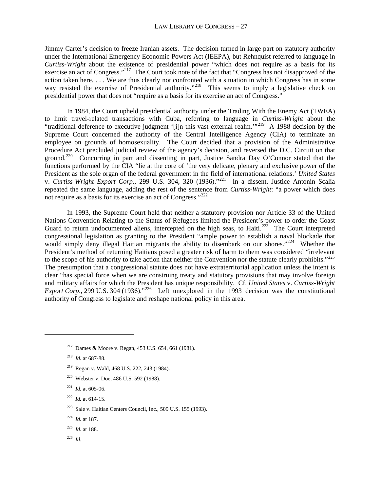Jimmy Carter's decision to freeze Iranian assets. The decision turned in large part on statutory authority under the International Emergency Economic Powers Act (IEEPA), but Rehnquist referred to language in *Curtiss-Wright* about the existence of presidential power "which does not require as a basis for its exercise an act of Congress."<sup>[217](#page-27-0)</sup> The Court took note of the fact that "Congress has not disapproved of the action taken here. . . . We are thus clearly not confronted with a situation in which Congress has in some way resisted the exercise of Presidential authority."<sup>[218](#page-27-1)</sup> This seems to imply a legislative check on presidential power that does not "require as a basis for its exercise an act of Congress."

In 1984, the Court upheld presidential authority under the Trading With the Enemy Act (TWEA) to limit travel-related transactions with Cuba, referring to language in *Curtiss-Wright* about the "traditional deference to executive judgment '[i]n this vast external realm.'"[219](#page-27-2) A 1988 decision by the Supreme Court concerned the authority of the Central Intelligence Agency (CIA) to terminate an employee on grounds of homosexuality. The Court decided that a provision of the Administrative Procedure Act precluded judicial review of the agency's decision, and reversed the D.C. Circuit on that ground.<sup>[220](#page-27-3)</sup> Concurring in part and dissenting in part, Justice Sandra Day O'Connor stated that the functions performed by the CIA "lie at the core of 'the very delicate, plenary and exclusive power of the President as the sole organ of the federal government in the field of international relations.' *United States* v. *Curtiss-Wright Export Corp*., 299 U.S. 304, 320 (1936)."[221](#page-27-4) In a dissent, Justice Antonin Scalia repeated the same language, adding the rest of the sentence from *Curtiss-Wright*: "a power which does not require as a basis for its exercise an act of Congress."[222](#page-27-5)

In 1993, the Supreme Court held that neither a statutory provision nor Article 33 of the United Nations Convention Relating to the Status of Refugees limited the President's power to order the Coast Guard to return undocumented aliens, intercepted on the high seas, to Haiti.<sup>[223](#page-27-6)</sup> The Court interpreted congressional legislation as granting to the President "ample power to establish a naval blockade that would simply deny illegal Haitian migrants the ability to disembark on our shores."<sup>[224](#page-27-7)</sup> Whether the President's method of returning Haitians posed a greater risk of harm to them was considered "irrelevant to the scope of his authority to take action that neither the Convention nor the statute clearly prohibits."<sup>225</sup> The presumption that a congressional statute does not have extraterritorial application unless the intent is clear "has special force when we are construing treaty and statutory provisions that may involve foreign and military affairs for which the President has unique responsibility. Cf. *United States* v. *Curtiss-Wright Export Corp.*, 299 U.S. 304 (1936)."<sup>[226](#page-27-9)</sup> Left unexplored in the 1993 decision was the constitutional authority of Congress to legislate and reshape national policy in this area.

- <span id="page-27-2"></span>219 Regan v. Wald, 468 U.S. 222, 243 (1984).
- <span id="page-27-3"></span>220 Webster v. Doe, 486 U.S. 592 (1988).
- <span id="page-27-4"></span>221 *Id.* at 605-06.
- <span id="page-27-5"></span>222 *Id.* at 614-15.
- <span id="page-27-6"></span>223 Sale v. Haitian Centers Council, Inc., 509 U.S. 155 (1993).
- <span id="page-27-7"></span>224 *Id.* at 187.
- <span id="page-27-8"></span>225 *Id.* at 188.
- <span id="page-27-9"></span><sup>226</sup> *Id.*

<span id="page-27-0"></span><sup>217</sup> Dames & Moore v. Regan, 453 U.S. 654, 661 (1981).

<span id="page-27-1"></span><sup>218</sup> *Id.* at 687-88.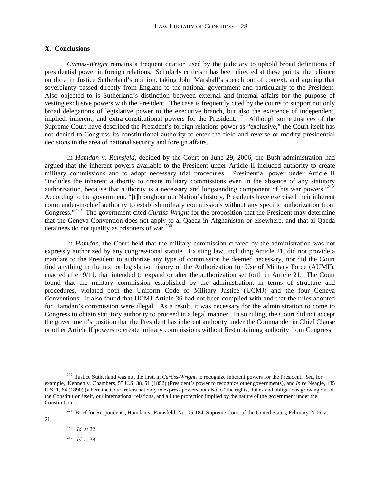#### **X. Conclusions**

*Curtiss-Wright* remains a frequent citation used by the judiciary to uphold broad definitions of presidential power in foreign relations. Scholarly criticism has been directed at these points: the reliance on dicta in Justice Sutherland's opinion, taking John Marshall's speech out of context, and arguing that sovereignty passed directly from England to the national government and particularly to the President. Also objected to is Sutherland's distinction between external and internal affairs for the purpose of vesting exclusive powers with the President. The case is frequently cited by the courts to support not only broad delegations of legislative power to the executive branch, but also the existence of independent, implied, inherent, and extra-constitutional powers for the President.<sup>[227](#page-28-0)</sup> Although some Justices of the Supreme Court have described the President's foreign relations power as "exclusive," the Court itself has not denied to Congress its constitutional authority to enter the field and reverse or modify presidential decisions in the area of national security and foreign affairs.

In *Hamdan* v. *Rumsfeld*, decided by the Court on June 29, 2006, the Bush administration had argued that the inherent powers available to the President under Article II included authority to create military commissions and to adopt necessary trial procedures. Presidential power under Article II "includes the inherent authority to create military commissions even in the absence of any statutory authorization, because that authority is a necessary and longstanding component of his war powers."<sup>228</sup> According to the government, "[t]hroughout our Nation's history, Presidents have exercised their inherent commander-in-chief authority to establish military commissions without any specific authorization from Congress."[229](#page-28-2) The government cited *Curtiss-Wright* for the proposition that the President may determine that the Geneva Convention does not apply to al Qaeda in Afghanistan or elsewhere, and that al Qaeda detainees do not qualify as prisoners of war. $^{230}$  $^{230}$  $^{230}$ 

In *Hamdan*, the Court held that the military commission created by the administration was not expressly authorized by any congressional statute. Existing law, including Article 21, did not provide a mandate to the President to authorize any type of commission he deemed necessary, nor did the Court find anything in the text or legislative history of the Authorization for Use of Military Force (AUMF), enacted after 9/11, that intended to expand or alter the authorization set forth in Article 21. The Court found that the military commission established by the administration, in terms of structure and procedures, violated both the Uniform Code of Military Justice (UCMJ) and the four Geneva Conventions. It also found that UCMJ Article 36 had not been complied with and that the rules adopted for Hamdan's commission were illegal. As a result, it was necessary for the administration to come to Congress to obtain statutory authority to proceed in a legal manner. In so ruling, the Court did not accept the government's position that the President has inherent authority under the Commander in Chief Clause or other Article II powers to create military commissions without first obtaining authority from Congress.

l

<span id="page-28-3"></span><span id="page-28-2"></span><span id="page-28-1"></span>21.

<span id="page-28-0"></span><sup>227</sup> Justice Sutherland was not the first, in *Curtiss-Wright*, to recognize inherent powers for the President. *See*, for example, Kennett v. Chambers, 55 U.S. 38, 51 (1852) (President's power to recognize other governments), and *In re* Neagle, 135 U.S. 1, 64 (1890) (where the Court refers not only to express powers but also to "the rights, duties and obligations growing out of the Constitution itself, our international relations, and all the protection implied by the nature of the government under the Constitution").

<sup>&</sup>lt;sup>228</sup> Brief for Respondents, Hamdan v. Rumsfeld, No. 05-184, Supreme Court of the United States, February 2006, at

<sup>229</sup> *Id.* at 22.

<sup>230</sup> *Id.* at 38.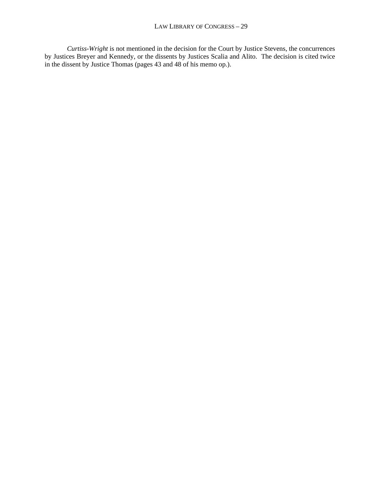*Curtiss-Wright* is not mentioned in the decision for the Court by Justice Stevens, the concurrences by Justices Breyer and Kennedy, or the dissents by Justices Scalia and Alito. The decision is cited twice in the dissent by Justice Thomas (pages 43 and 48 of his memo op.).